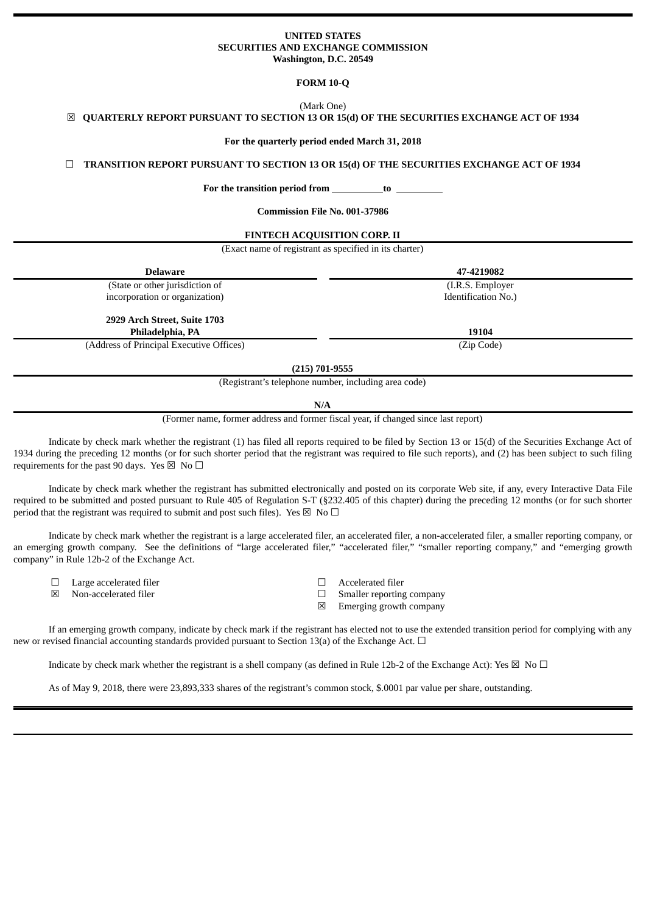### **UNITED STATES SECURITIES AND EXCHANGE COMMISSION Washington, D.C. 20549**

## **FORM 10-Q**

# (Mark One)

☒ **QUARTERLY REPORT PURSUANT TO SECTION 13 OR 15(d) OF THE SECURITIES EXCHANGE ACT OF 1934**

#### **For the quarterly period ended March 31, 2018**

☐ **TRANSITION REPORT PURSUANT TO SECTION 13 OR 15(d) OF THE SECURITIES EXCHANGE ACT OF 1934**

**For the transition period from to**

**Commission File No. 001-37986**

### **FINTECH ACQUISITION CORP. II**

(Exact name of registrant as specified in its charter)

| <b>Delaware</b>                          | 47-4219082          |  |  |  |
|------------------------------------------|---------------------|--|--|--|
| (State or other jurisdiction of          | (I.R.S. Employer)   |  |  |  |
| incorporation or organization)           | Identification No.) |  |  |  |
| 2929 Arch Street, Suite 1703             |                     |  |  |  |
| Philadelphia, PA                         | 19104               |  |  |  |
| (Address of Principal Executive Offices) | (Zip Code)          |  |  |  |
| $(0.47)$ mass community                  |                     |  |  |  |

**(215) 701-9555**

(Registrant's telephone number, including area code)

#### **N/A**

(Former name, former address and former fiscal year, if changed since last report)

Indicate by check mark whether the registrant (1) has filed all reports required to be filed by Section 13 or 15(d) of the Securities Exchange Act of 1934 during the preceding 12 months (or for such shorter period that the registrant was required to file such reports), and (2) has been subject to such filing requirements for the past 90 days. Yes  $\boxtimes$  No  $\Box$ 

Indicate by check mark whether the registrant has submitted electronically and posted on its corporate Web site, if any, every Interactive Data File required to be submitted and posted pursuant to Rule 405 of Regulation S-T (§232.405 of this chapter) during the preceding 12 months (or for such shorter period that the registrant was required to submit and post such files). Yes  $\boxtimes$  No  $\Box$ 

Indicate by check mark whether the registrant is a large accelerated filer, an accelerated filer, a non-accelerated filer, a smaller reporting company, or an emerging growth company. See the definitions of "large accelerated filer," "accelerated filer," "smaller reporting company," and "emerging growth company" in Rule 12b-2 of the Exchange Act.

☐ Large accelerated filer ☐ Accelerated filer

- 
- ☒ Non-accelerated filer ☐ Smaller reporting company
	- ☒ Emerging growth company

If an emerging growth company, indicate by check mark if the registrant has elected not to use the extended transition period for complying with any new or revised financial accounting standards provided pursuant to Section 13(a) of the Exchange Act.  $\Box$ 

Indicate by check mark whether the registrant is a shell company (as defined in Rule 12b-2 of the Exchange Act): Yes  $\boxtimes$  No  $\Box$ 

As of May 9, 2018, there were 23,893,333 shares of the registrant's common stock, \$.0001 par value per share, outstanding.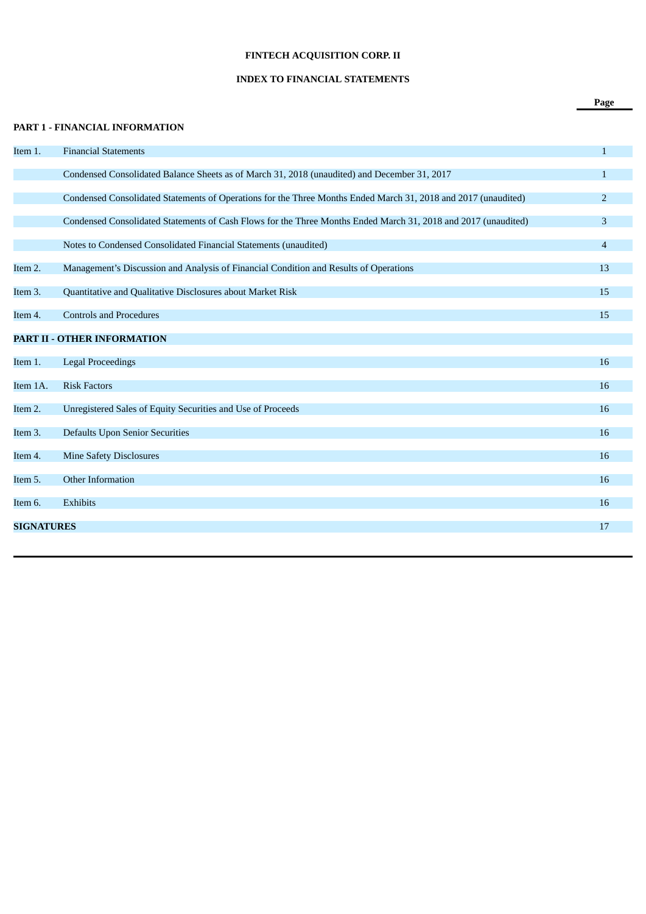# **FINTECH ACQUISITION CORP. II**

# **INDEX TO FINANCIAL STATEMENTS**

**Page**

# **PART 1 - FINANCIAL INFORMATION**

| Item 1.           | <b>Financial Statements</b>                                                                                    | $\mathbf{1}$   |
|-------------------|----------------------------------------------------------------------------------------------------------------|----------------|
|                   | Condensed Consolidated Balance Sheets as of March 31, 2018 (unaudited) and December 31, 2017                   | $\mathbf{1}$   |
|                   |                                                                                                                |                |
|                   | Condensed Consolidated Statements of Operations for the Three Months Ended March 31, 2018 and 2017 (unaudited) | $\overline{2}$ |
|                   | Condensed Consolidated Statements of Cash Flows for the Three Months Ended March 31, 2018 and 2017 (unaudited) | 3              |
|                   |                                                                                                                |                |
|                   | Notes to Condensed Consolidated Financial Statements (unaudited)                                               | $\overline{4}$ |
| Item 2.           | Management's Discussion and Analysis of Financial Condition and Results of Operations                          | 13             |
|                   |                                                                                                                |                |
| Item 3.           | Quantitative and Qualitative Disclosures about Market Risk                                                     | 15             |
| Item 4.           | <b>Controls and Procedures</b>                                                                                 | 15             |
|                   |                                                                                                                |                |
|                   | <b>PART II - OTHER INFORMATION</b>                                                                             |                |
| Item 1.           | <b>Legal Proceedings</b>                                                                                       | 16             |
|                   |                                                                                                                |                |
| Item 1A.          | <b>Risk Factors</b>                                                                                            | 16             |
| Item 2.           | Unregistered Sales of Equity Securities and Use of Proceeds                                                    | 16             |
|                   |                                                                                                                |                |
| Item 3.           | <b>Defaults Upon Senior Securities</b>                                                                         | 16             |
| Item 4.           | <b>Mine Safety Disclosures</b>                                                                                 | 16             |
|                   |                                                                                                                |                |
| Item 5.           | Other Information                                                                                              | 16             |
| Item 6.           | Exhibits                                                                                                       | 16             |
|                   |                                                                                                                |                |
| <b>SIGNATURES</b> |                                                                                                                | 17             |
|                   |                                                                                                                |                |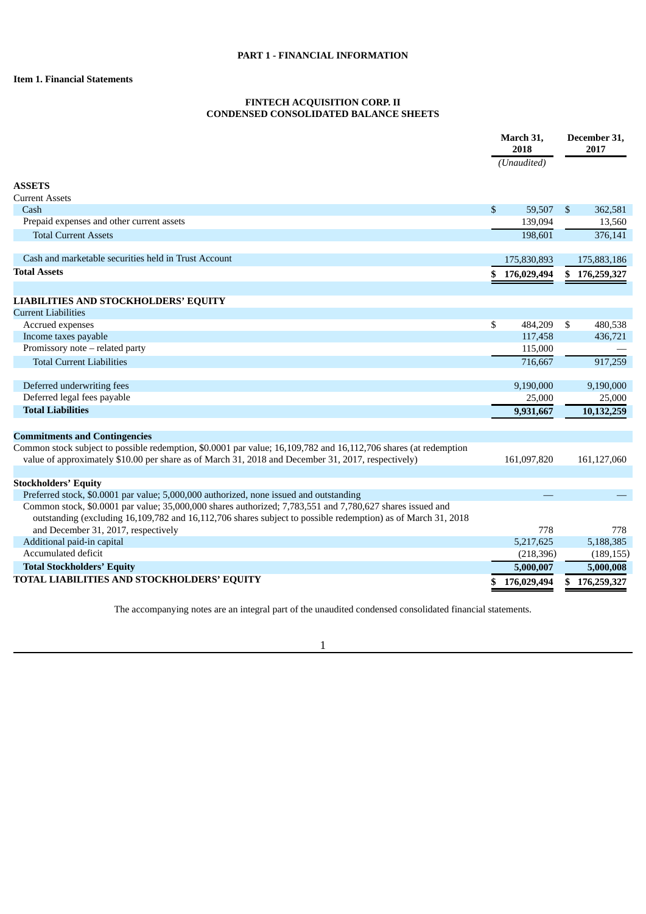## **Item 1. Financial Statements**

### **FINTECH ACQUISITION CORP. II CONDENSED CONSOLIDATED BALANCE SHEETS**

|                                                                                                                                                                                                                           |     | March 31,<br>2018<br>(Unaudited) | December 31,<br>2017 |
|---------------------------------------------------------------------------------------------------------------------------------------------------------------------------------------------------------------------------|-----|----------------------------------|----------------------|
| <b>ASSETS</b>                                                                                                                                                                                                             |     |                                  |                      |
| <b>Current Assets</b>                                                                                                                                                                                                     |     |                                  |                      |
| Cash                                                                                                                                                                                                                      | \$. | 59,507                           | \$<br>362,581        |
| Prepaid expenses and other current assets                                                                                                                                                                                 |     | 139,094                          | 13,560               |
| <b>Total Current Assets</b>                                                                                                                                                                                               |     | 198,601                          | 376,141              |
| Cash and marketable securities held in Trust Account                                                                                                                                                                      |     | 175,830,893                      | 175,883,186          |
| <b>Total Assets</b>                                                                                                                                                                                                       |     | 176,029,494                      | \$176,259,327        |
| <b>LIABILITIES AND STOCKHOLDERS' EQUITY</b>                                                                                                                                                                               |     |                                  |                      |
| <b>Current Liabilities</b>                                                                                                                                                                                                |     |                                  |                      |
| Accrued expenses                                                                                                                                                                                                          | \$  | 484,209                          | \$<br>480,538        |
| Income taxes payable                                                                                                                                                                                                      |     | 117,458                          | 436,721              |
| Promissory note - related party                                                                                                                                                                                           |     | 115,000                          |                      |
| <b>Total Current Liabilities</b>                                                                                                                                                                                          |     | 716.667                          | 917,259              |
| Deferred underwriting fees                                                                                                                                                                                                |     | 9,190,000                        | 9,190,000            |
| Deferred legal fees payable                                                                                                                                                                                               |     | 25,000                           | 25,000               |
| <b>Total Liabilities</b>                                                                                                                                                                                                  |     | 9,931,667                        | 10,132,259           |
| <b>Commitments and Contingencies</b>                                                                                                                                                                                      |     |                                  |                      |
| Common stock subject to possible redemption, \$0.0001 par value; 16,109,782 and 16,112,706 shares (at redemption<br>value of approximately \$10.00 per share as of March 31, 2018 and December 31, 2017, respectively)    |     | 161,097,820                      | 161,127,060          |
| <b>Stockholders' Equity</b>                                                                                                                                                                                               |     |                                  |                      |
| Preferred stock, \$0.0001 par value; 5,000,000 authorized, none issued and outstanding                                                                                                                                    |     |                                  |                      |
| Common stock, \$0.0001 par value; 35,000,000 shares authorized; 7,783,551 and 7,780,627 shares issued and<br>outstanding (excluding 16,109,782 and 16,112,706 shares subject to possible redemption) as of March 31, 2018 |     |                                  |                      |
| and December 31, 2017, respectively                                                                                                                                                                                       |     | 778                              | 778                  |
| Additional paid-in capital                                                                                                                                                                                                |     | 5,217,625                        | 5,188,385            |
| Accumulated deficit                                                                                                                                                                                                       |     | (218, 396)                       | (189, 155)           |
| <b>Total Stockholders' Equity</b>                                                                                                                                                                                         |     | 5,000,007                        | 5,000,008            |
| TOTAL LIABILITIES AND STOCKHOLDERS' EQUITY                                                                                                                                                                                |     | 176,029,494                      | \$176,259,327        |

The accompanying notes are an integral part of the unaudited condensed consolidated financial statements.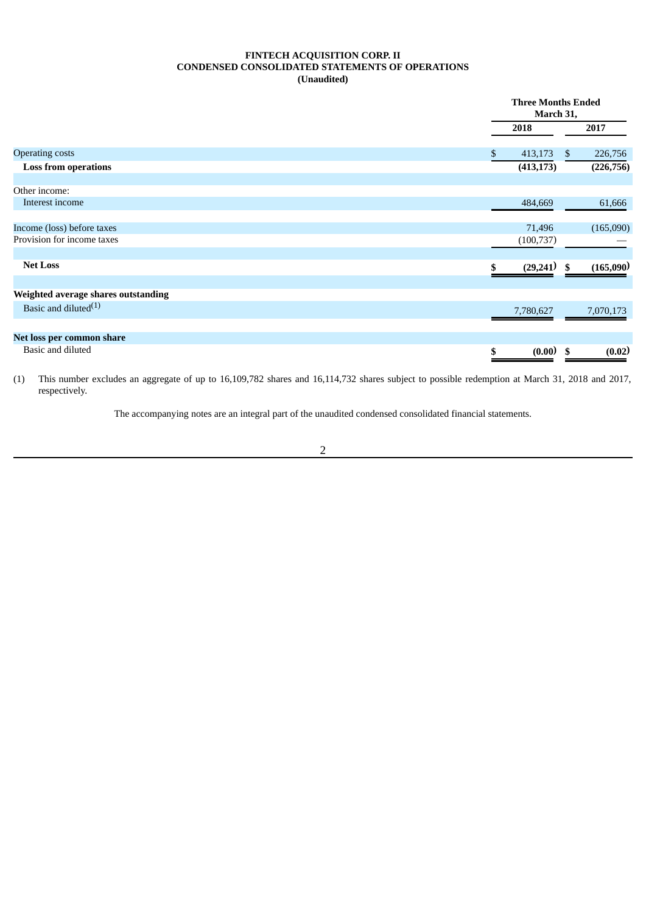## **FINTECH ACQUISITION CORP. II CONDENSED CONSOLIDATED STATEMENTS OF OPERATIONS (Unaudited)**

|                                     |      | <b>Three Months Ended</b><br>March 31, |  |  |
|-------------------------------------|------|----------------------------------------|--|--|
|                                     | 2018 | 2017                                   |  |  |
| <b>Operating costs</b>              | \$   | 413,173<br>226,756<br>\$.              |  |  |
| <b>Loss from operations</b>         |      | (226, 756)<br>(413, 173)               |  |  |
| Other income:                       |      |                                        |  |  |
| Interest income                     |      | 61,666<br>484,669                      |  |  |
| Income (loss) before taxes          |      | (165,090)<br>71,496                    |  |  |
| Provision for income taxes          |      | (100, 737)                             |  |  |
| <b>Net Loss</b>                     |      | (29, 241)<br>(165,090)<br>- \$         |  |  |
| Weighted average shares outstanding |      |                                        |  |  |
| Basic and diluted $(1)$             |      | 7,780,627<br>7,070,173                 |  |  |
|                                     |      |                                        |  |  |
| Net loss per common share           |      |                                        |  |  |
| Basic and diluted                   | \$   | (0.02)<br>(0.00)<br>- \$               |  |  |

(1) This number excludes an aggregate of up to 16,109,782 shares and 16,114,732 shares subject to possible redemption at March 31, 2018 and 2017, respectively.

The accompanying notes are an integral part of the unaudited condensed consolidated financial statements.

$$
\overline{2}
$$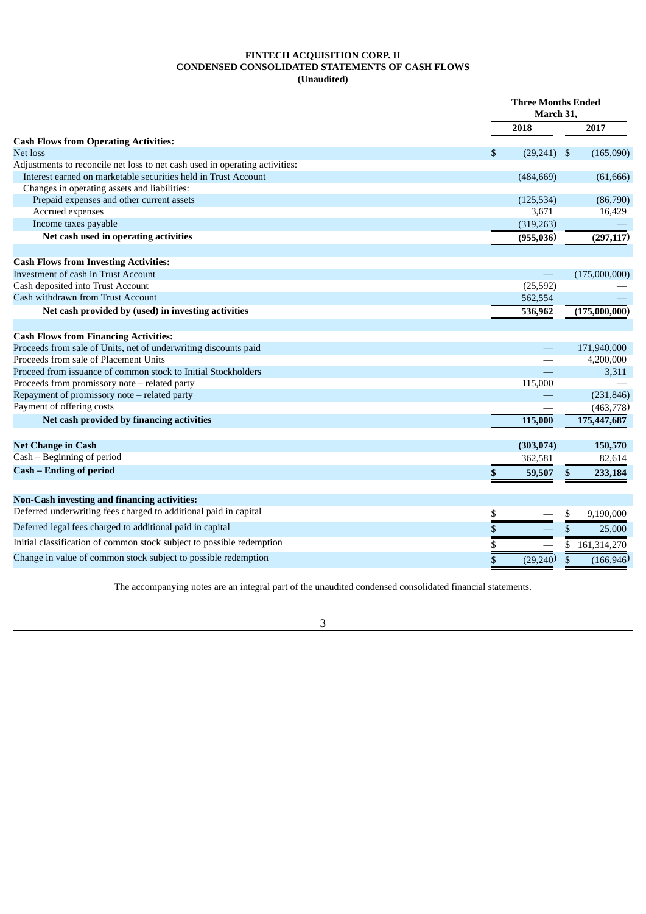### **FINTECH ACQUISITION CORP. II CONDENSED CONSOLIDATED STATEMENTS OF CASH FLOWS (Unaudited)**

|                                                                             |                     | <b>Three Months Ended</b><br>March 31, |  |
|-----------------------------------------------------------------------------|---------------------|----------------------------------------|--|
|                                                                             | 2018                | 2017                                   |  |
| <b>Cash Flows from Operating Activities:</b>                                |                     |                                        |  |
| <b>Net loss</b>                                                             | $(29,241)$ \$<br>\$ | (165,090)                              |  |
| Adjustments to reconcile net loss to net cash used in operating activities: |                     |                                        |  |
| Interest earned on marketable securities held in Trust Account              | (484, 669)          | (61, 666)                              |  |
| Changes in operating assets and liabilities:                                |                     |                                        |  |
| Prepaid expenses and other current assets                                   | (125, 534)          | (86,790)                               |  |
| Accrued expenses                                                            | 3,671               | 16,429                                 |  |
| Income taxes payable                                                        | (319,263)           |                                        |  |
| Net cash used in operating activities                                       | (955, 036)          | (297, 117)                             |  |
| <b>Cash Flows from Investing Activities:</b>                                |                     |                                        |  |
| Investment of cash in Trust Account                                         |                     | (175,000,000)                          |  |
| Cash deposited into Trust Account                                           | (25, 592)           |                                        |  |
| Cash withdrawn from Trust Account                                           | 562,554             |                                        |  |
| Net cash provided by (used) in investing activities                         | 536,962             | (175,000,000)                          |  |
| <b>Cash Flows from Financing Activities:</b>                                |                     |                                        |  |
| Proceeds from sale of Units, net of underwriting discounts paid             |                     | 171,940,000                            |  |
| Proceeds from sale of Placement Units                                       |                     | 4,200,000                              |  |
| Proceed from issuance of common stock to Initial Stockholders               |                     | 3,311                                  |  |
| Proceeds from promissory note - related party                               | 115,000             |                                        |  |
| Repayment of promissory note - related party                                |                     | (231, 846)                             |  |
| Payment of offering costs                                                   |                     | (463,778)                              |  |
| Net cash provided by financing activities                                   | 115,000             | 175,447,687                            |  |
| <b>Net Change in Cash</b>                                                   | (303,074)           | 150,570                                |  |
| Cash - Beginning of period                                                  | 362,581             | 82,614                                 |  |
| <b>Cash - Ending of period</b>                                              | \$<br>59,507        | 233,184<br>\$                          |  |
| <b>Non-Cash investing and financing activities:</b>                         |                     |                                        |  |
| Deferred underwriting fees charged to additional paid in capital            |                     |                                        |  |
|                                                                             | \$                  | \$<br>9,190,000                        |  |
| Deferred legal fees charged to additional paid in capital                   | \$                  | \$<br>25,000                           |  |
| Initial classification of common stock subject to possible redemption       | \$                  | 161,314,270<br>\$                      |  |
| Change in value of common stock subject to possible redemption              | (29, 240)<br>\$     | \$<br>(166, 946)                       |  |

The accompanying notes are an integral part of the unaudited condensed consolidated financial statements.

3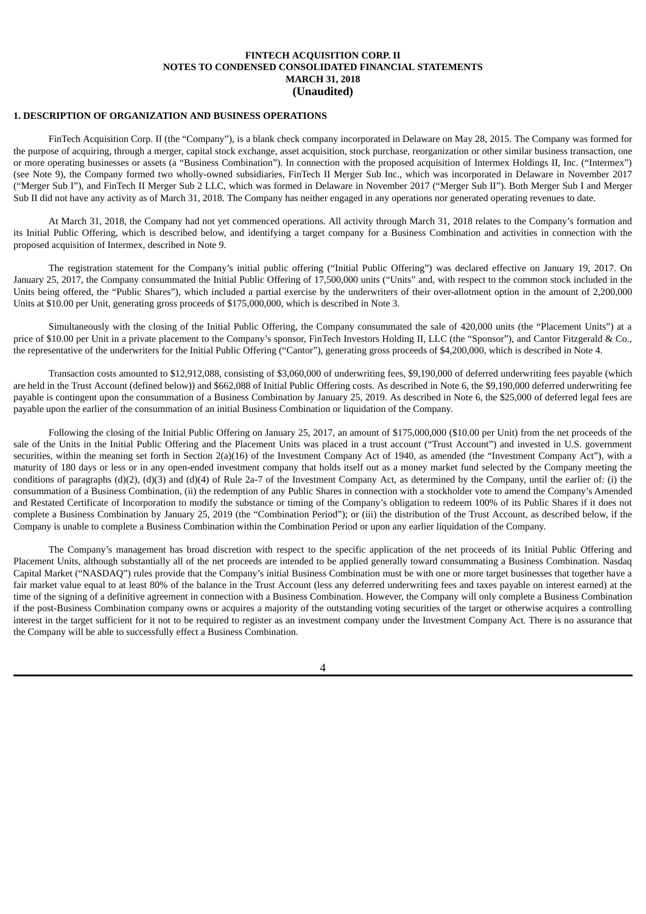### **1. DESCRIPTION OF ORGANIZATION AND BUSINESS OPERATIONS**

FinTech Acquisition Corp. II (the "Company"), is a blank check company incorporated in Delaware on May 28, 2015. The Company was formed for the purpose of acquiring, through a merger, capital stock exchange, asset acquisition, stock purchase, reorganization or other similar business transaction, one or more operating businesses or assets (a "Business Combination"). In connection with the proposed acquisition of Intermex Holdings II, Inc. ("Intermex") (see Note 9), the Company formed two wholly-owned subsidiaries, FinTech II Merger Sub Inc., which was incorporated in Delaware in November 2017 ("Merger Sub I"), and FinTech II Merger Sub 2 LLC, which was formed in Delaware in November 2017 ("Merger Sub II"). Both Merger Sub I and Merger Sub II did not have any activity as of March 31, 2018. The Company has neither engaged in any operations nor generated operating revenues to date.

At March 31, 2018, the Company had not yet commenced operations. All activity through March 31, 2018 relates to the Company's formation and its Initial Public Offering, which is described below, and identifying a target company for a Business Combination and activities in connection with the proposed acquisition of Intermex, described in Note 9.

The registration statement for the Company's initial public offering ("Initial Public Offering") was declared effective on January 19, 2017. On January 25, 2017, the Company consummated the Initial Public Offering of 17,500,000 units ("Units" and, with respect to the common stock included in the Units being offered, the "Public Shares"), which included a partial exercise by the underwriters of their over-allotment option in the amount of 2,200,000 Units at \$10.00 per Unit, generating gross proceeds of \$175,000,000, which is described in Note 3.

Simultaneously with the closing of the Initial Public Offering, the Company consummated the sale of 420,000 units (the "Placement Units") at a price of \$10.00 per Unit in a private placement to the Company's sponsor, FinTech Investors Holding II, LLC (the "Sponsor"), and Cantor Fitzgerald & Co., the representative of the underwriters for the Initial Public Offering ("Cantor"), generating gross proceeds of \$4,200,000, which is described in Note 4.

Transaction costs amounted to \$12,912,088, consisting of \$3,060,000 of underwriting fees, \$9,190,000 of deferred underwriting fees payable (which are held in the Trust Account (defined below)) and \$662,088 of Initial Public Offering costs. As described in Note 6, the \$9,190,000 deferred underwriting fee payable is contingent upon the consummation of a Business Combination by January 25, 2019. As described in Note 6, the \$25,000 of deferred legal fees are payable upon the earlier of the consummation of an initial Business Combination or liquidation of the Company.

Following the closing of the Initial Public Offering on January 25, 2017, an amount of \$175,000,000 (\$10.00 per Unit) from the net proceeds of the sale of the Units in the Initial Public Offering and the Placement Units was placed in a trust account ("Trust Account") and invested in U.S. government securities, within the meaning set forth in Section 2(a)(16) of the Investment Company Act of 1940, as amended (the "Investment Company Act"), with a maturity of 180 days or less or in any open-ended investment company that holds itself out as a money market fund selected by the Company meeting the conditions of paragraphs (d)(2), (d)(3) and (d)(4) of Rule 2a-7 of the Investment Company Act, as determined by the Company, until the earlier of: (i) the consummation of a Business Combination, (ii) the redemption of any Public Shares in connection with a stockholder vote to amend the Company's Amended and Restated Certificate of Incorporation to modify the substance or timing of the Company's obligation to redeem 100% of its Public Shares if it does not complete a Business Combination by January 25, 2019 (the "Combination Period"); or (iii) the distribution of the Trust Account, as described below, if the Company is unable to complete a Business Combination within the Combination Period or upon any earlier liquidation of the Company.

The Company's management has broad discretion with respect to the specific application of the net proceeds of its Initial Public Offering and Placement Units, although substantially all of the net proceeds are intended to be applied generally toward consummating a Business Combination. Nasdaq Capital Market ("NASDAQ") rules provide that the Company's initial Business Combination must be with one or more target businesses that together have a fair market value equal to at least 80% of the balance in the Trust Account (less any deferred underwriting fees and taxes payable on interest earned) at the time of the signing of a definitive agreement in connection with a Business Combination. However, the Company will only complete a Business Combination if the post-Business Combination company owns or acquires a majority of the outstanding voting securities of the target or otherwise acquires a controlling interest in the target sufficient for it not to be required to register as an investment company under the Investment Company Act. There is no assurance that the Company will be able to successfully effect a Business Combination.

 $\overline{A}$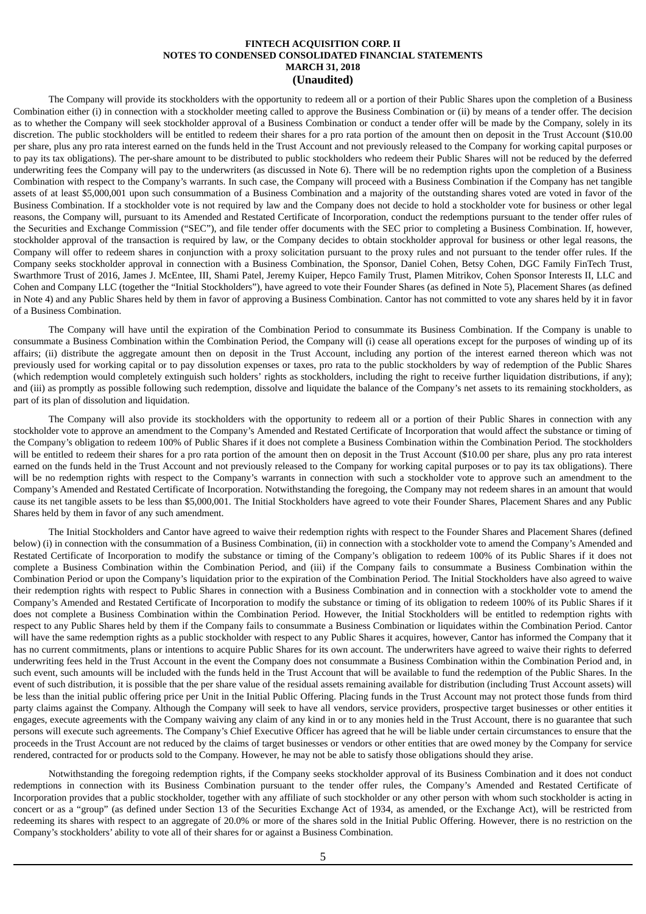The Company will provide its stockholders with the opportunity to redeem all or a portion of their Public Shares upon the completion of a Business Combination either (i) in connection with a stockholder meeting called to approve the Business Combination or (ii) by means of a tender offer. The decision as to whether the Company will seek stockholder approval of a Business Combination or conduct a tender offer will be made by the Company, solely in its discretion. The public stockholders will be entitled to redeem their shares for a pro rata portion of the amount then on deposit in the Trust Account (\$10.00 per share, plus any pro rata interest earned on the funds held in the Trust Account and not previously released to the Company for working capital purposes or to pay its tax obligations). The per-share amount to be distributed to public stockholders who redeem their Public Shares will not be reduced by the deferred underwriting fees the Company will pay to the underwriters (as discussed in Note 6). There will be no redemption rights upon the completion of a Business Combination with respect to the Company's warrants. In such case, the Company will proceed with a Business Combination if the Company has net tangible assets of at least \$5,000,001 upon such consummation of a Business Combination and a majority of the outstanding shares voted are voted in favor of the Business Combination. If a stockholder vote is not required by law and the Company does not decide to hold a stockholder vote for business or other legal reasons, the Company will, pursuant to its Amended and Restated Certificate of Incorporation, conduct the redemptions pursuant to the tender offer rules of the Securities and Exchange Commission ("SEC"), and file tender offer documents with the SEC prior to completing a Business Combination. If, however, stockholder approval of the transaction is required by law, or the Company decides to obtain stockholder approval for business or other legal reasons, the Company will offer to redeem shares in conjunction with a proxy solicitation pursuant to the proxy rules and not pursuant to the tender offer rules. If the Company seeks stockholder approval in connection with a Business Combination, the Sponsor, Daniel Cohen, Betsy Cohen, DGC Family FinTech Trust, Swarthmore Trust of 2016, James J. McEntee, III, Shami Patel, Jeremy Kuiper, Hepco Family Trust, Plamen Mitrikov, Cohen Sponsor Interests II, LLC and Cohen and Company LLC (together the "Initial Stockholders"), have agreed to vote their Founder Shares (as defined in Note 5), Placement Shares (as defined in Note 4) and any Public Shares held by them in favor of approving a Business Combination. Cantor has not committed to vote any shares held by it in favor of a Business Combination.

The Company will have until the expiration of the Combination Period to consummate its Business Combination. If the Company is unable to consummate a Business Combination within the Combination Period, the Company will (i) cease all operations except for the purposes of winding up of its affairs; (ii) distribute the aggregate amount then on deposit in the Trust Account, including any portion of the interest earned thereon which was not previously used for working capital or to pay dissolution expenses or taxes, pro rata to the public stockholders by way of redemption of the Public Shares (which redemption would completely extinguish such holders' rights as stockholders, including the right to receive further liquidation distributions, if any); and (iii) as promptly as possible following such redemption, dissolve and liquidate the balance of the Company's net assets to its remaining stockholders, as part of its plan of dissolution and liquidation.

The Company will also provide its stockholders with the opportunity to redeem all or a portion of their Public Shares in connection with any stockholder vote to approve an amendment to the Company's Amended and Restated Certificate of Incorporation that would affect the substance or timing of the Company's obligation to redeem 100% of Public Shares if it does not complete a Business Combination within the Combination Period. The stockholders will be entitled to redeem their shares for a pro rata portion of the amount then on deposit in the Trust Account (\$10.00 per share, plus any pro rata interest earned on the funds held in the Trust Account and not previously released to the Company for working capital purposes or to pay its tax obligations). There will be no redemption rights with respect to the Company's warrants in connection with such a stockholder vote to approve such an amendment to the Company's Amended and Restated Certificate of Incorporation. Notwithstanding the foregoing, the Company may not redeem shares in an amount that would cause its net tangible assets to be less than \$5,000,001. The Initial Stockholders have agreed to vote their Founder Shares, Placement Shares and any Public Shares held by them in favor of any such amendment.

The Initial Stockholders and Cantor have agreed to waive their redemption rights with respect to the Founder Shares and Placement Shares (defined below) (i) in connection with the consummation of a Business Combination, (ii) in connection with a stockholder vote to amend the Company's Amended and Restated Certificate of Incorporation to modify the substance or timing of the Company's obligation to redeem 100% of its Public Shares if it does not complete a Business Combination within the Combination Period, and (iii) if the Company fails to consummate a Business Combination within the Combination Period or upon the Company's liquidation prior to the expiration of the Combination Period. The Initial Stockholders have also agreed to waive their redemption rights with respect to Public Shares in connection with a Business Combination and in connection with a stockholder vote to amend the Company's Amended and Restated Certificate of Incorporation to modify the substance or timing of its obligation to redeem 100% of its Public Shares if it does not complete a Business Combination within the Combination Period. However, the Initial Stockholders will be entitled to redemption rights with respect to any Public Shares held by them if the Company fails to consummate a Business Combination or liquidates within the Combination Period. Cantor will have the same redemption rights as a public stockholder with respect to any Public Shares it acquires, however, Cantor has informed the Company that it has no current commitments, plans or intentions to acquire Public Shares for its own account. The underwriters have agreed to waive their rights to deferred underwriting fees held in the Trust Account in the event the Company does not consummate a Business Combination within the Combination Period and, in such event, such amounts will be included with the funds held in the Trust Account that will be available to fund the redemption of the Public Shares. In the event of such distribution, it is possible that the per share value of the residual assets remaining available for distribution (including Trust Account assets) will be less than the initial public offering price per Unit in the Initial Public Offering. Placing funds in the Trust Account may not protect those funds from third party claims against the Company. Although the Company will seek to have all vendors, service providers, prospective target businesses or other entities it engages, execute agreements with the Company waiving any claim of any kind in or to any monies held in the Trust Account, there is no guarantee that such persons will execute such agreements. The Company's Chief Executive Officer has agreed that he will be liable under certain circumstances to ensure that the proceeds in the Trust Account are not reduced by the claims of target businesses or vendors or other entities that are owed money by the Company for service rendered, contracted for or products sold to the Company. However, he may not be able to satisfy those obligations should they arise.

Notwithstanding the foregoing redemption rights, if the Company seeks stockholder approval of its Business Combination and it does not conduct redemptions in connection with its Business Combination pursuant to the tender offer rules, the Company's Amended and Restated Certificate of Incorporation provides that a public stockholder, together with any affiliate of such stockholder or any other person with whom such stockholder is acting in concert or as a "group" (as defined under Section 13 of the Securities Exchange Act of 1934, as amended, or the Exchange Act), will be restricted from redeeming its shares with respect to an aggregate of 20.0% or more of the shares sold in the Initial Public Offering. However, there is no restriction on the Company's stockholders' ability to vote all of their shares for or against a Business Combination.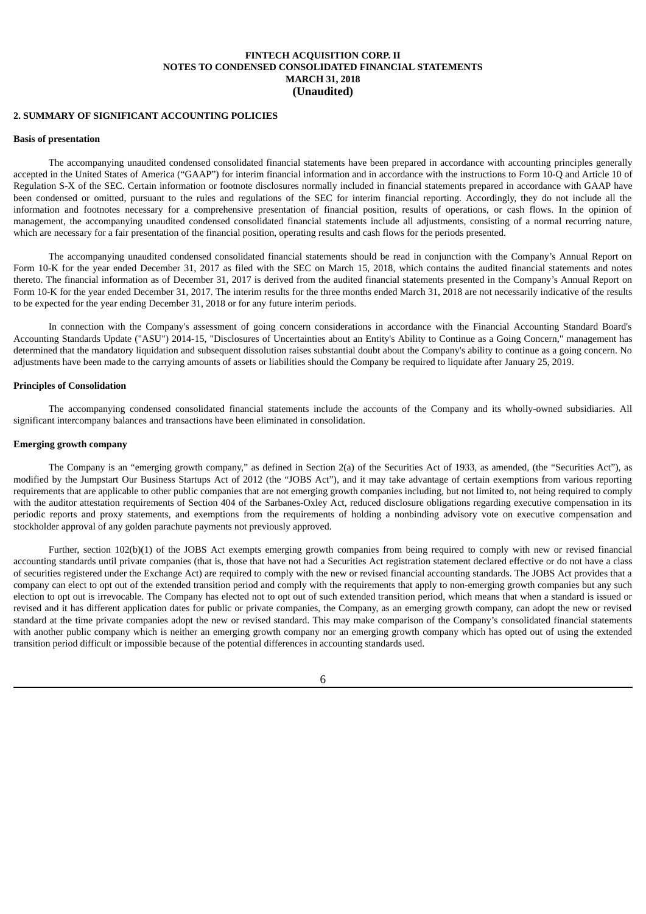### **2. SUMMARY OF SIGNIFICANT ACCOUNTING POLICIES**

#### **Basis of presentation**

The accompanying unaudited condensed consolidated financial statements have been prepared in accordance with accounting principles generally accepted in the United States of America ("GAAP") for interim financial information and in accordance with the instructions to Form 10-Q and Article 10 of Regulation S-X of the SEC. Certain information or footnote disclosures normally included in financial statements prepared in accordance with GAAP have been condensed or omitted, pursuant to the rules and regulations of the SEC for interim financial reporting. Accordingly, they do not include all the information and footnotes necessary for a comprehensive presentation of financial position, results of operations, or cash flows. In the opinion of management, the accompanying unaudited condensed consolidated financial statements include all adjustments, consisting of a normal recurring nature, which are necessary for a fair presentation of the financial position, operating results and cash flows for the periods presented.

The accompanying unaudited condensed consolidated financial statements should be read in conjunction with the Company's Annual Report on Form 10-K for the year ended December 31, 2017 as filed with the SEC on March 15, 2018, which contains the audited financial statements and notes thereto. The financial information as of December 31, 2017 is derived from the audited financial statements presented in the Company's Annual Report on Form 10-K for the year ended December 31, 2017. The interim results for the three months ended March 31, 2018 are not necessarily indicative of the results to be expected for the year ending December 31, 2018 or for any future interim periods.

In connection with the Company's assessment of going concern considerations in accordance with the Financial Accounting Standard Board's Accounting Standards Update ("ASU") 2014-15, "Disclosures of Uncertainties about an Entity's Ability to Continue as a Going Concern," management has determined that the mandatory liquidation and subsequent dissolution raises substantial doubt about the Company's ability to continue as a going concern. No adjustments have been made to the carrying amounts of assets or liabilities should the Company be required to liquidate after January 25, 2019.

#### **Principles of Consolidation**

The accompanying condensed consolidated financial statements include the accounts of the Company and its wholly-owned subsidiaries. All significant intercompany balances and transactions have been eliminated in consolidation.

### **Emerging growth company**

The Company is an "emerging growth company," as defined in Section 2(a) of the Securities Act of 1933, as amended, (the "Securities Act"), as modified by the Jumpstart Our Business Startups Act of 2012 (the "JOBS Act"), and it may take advantage of certain exemptions from various reporting requirements that are applicable to other public companies that are not emerging growth companies including, but not limited to, not being required to comply with the auditor attestation requirements of Section 404 of the Sarbanes-Oxley Act, reduced disclosure obligations regarding executive compensation in its periodic reports and proxy statements, and exemptions from the requirements of holding a nonbinding advisory vote on executive compensation and stockholder approval of any golden parachute payments not previously approved.

Further, section 102(b)(1) of the JOBS Act exempts emerging growth companies from being required to comply with new or revised financial accounting standards until private companies (that is, those that have not had a Securities Act registration statement declared effective or do not have a class of securities registered under the Exchange Act) are required to comply with the new or revised financial accounting standards. The JOBS Act provides that a company can elect to opt out of the extended transition period and comply with the requirements that apply to non-emerging growth companies but any such election to opt out is irrevocable. The Company has elected not to opt out of such extended transition period, which means that when a standard is issued or revised and it has different application dates for public or private companies, the Company, as an emerging growth company, can adopt the new or revised standard at the time private companies adopt the new or revised standard. This may make comparison of the Company's consolidated financial statements with another public company which is neither an emerging growth company nor an emerging growth company which has opted out of using the extended transition period difficult or impossible because of the potential differences in accounting standards used.

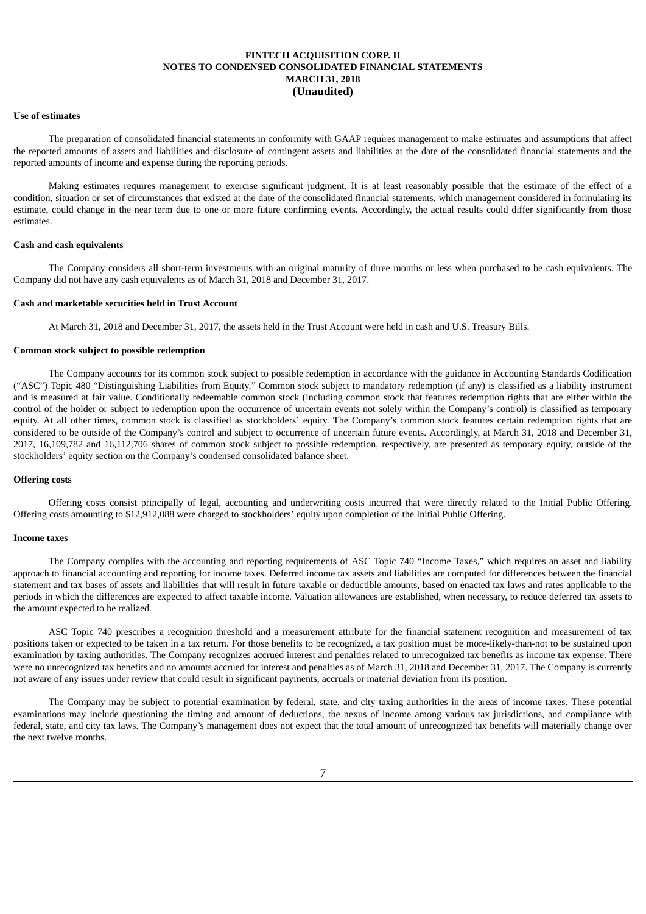### **Use of estimates**

The preparation of consolidated financial statements in conformity with GAAP requires management to make estimates and assumptions that affect the reported amounts of assets and liabilities and disclosure of contingent assets and liabilities at the date of the consolidated financial statements and the reported amounts of income and expense during the reporting periods.

Making estimates requires management to exercise significant judgment. It is at least reasonably possible that the estimate of the effect of a condition, situation or set of circumstances that existed at the date of the consolidated financial statements, which management considered in formulating its estimate, could change in the near term due to one or more future confirming events. Accordingly, the actual results could differ significantly from those estimates.

#### **Cash and cash equivalents**

The Company considers all short-term investments with an original maturity of three months or less when purchased to be cash equivalents. The Company did not have any cash equivalents as of March 31, 2018 and December 31, 2017.

#### **Cash and marketable securities held in Trust Account**

At March 31, 2018 and December 31, 2017, the assets held in the Trust Account were held in cash and U.S. Treasury Bills.

### **Common stock subject to possible redemption**

The Company accounts for its common stock subject to possible redemption in accordance with the guidance in Accounting Standards Codification ("ASC") Topic 480 "Distinguishing Liabilities from Equity." Common stock subject to mandatory redemption (if any) is classified as a liability instrument and is measured at fair value. Conditionally redeemable common stock (including common stock that features redemption rights that are either within the control of the holder or subject to redemption upon the occurrence of uncertain events not solely within the Company's control) is classified as temporary equity. At all other times, common stock is classified as stockholders' equity. The Company's common stock features certain redemption rights that are considered to be outside of the Company's control and subject to occurrence of uncertain future events. Accordingly, at March 31, 2018 and December 31, 2017, 16,109,782 and 16,112,706 shares of common stock subject to possible redemption, respectively, are presented as temporary equity, outside of the stockholders' equity section on the Company's condensed consolidated balance sheet.

### **Offering costs**

Offering costs consist principally of legal, accounting and underwriting costs incurred that were directly related to the Initial Public Offering. Offering costs amounting to \$12,912,088 were charged to stockholders' equity upon completion of the Initial Public Offering.

#### **Income taxes**

The Company complies with the accounting and reporting requirements of ASC Topic 740 "Income Taxes," which requires an asset and liability approach to financial accounting and reporting for income taxes. Deferred income tax assets and liabilities are computed for differences between the financial statement and tax bases of assets and liabilities that will result in future taxable or deductible amounts, based on enacted tax laws and rates applicable to the periods in which the differences are expected to affect taxable income. Valuation allowances are established, when necessary, to reduce deferred tax assets to the amount expected to be realized.

ASC Topic 740 prescribes a recognition threshold and a measurement attribute for the financial statement recognition and measurement of tax positions taken or expected to be taken in a tax return. For those benefits to be recognized, a tax position must be more-likely-than-not to be sustained upon examination by taxing authorities. The Company recognizes accrued interest and penalties related to unrecognized tax benefits as income tax expense. There were no unrecognized tax benefits and no amounts accrued for interest and penalties as of March 31, 2018 and December 31, 2017. The Company is currently not aware of any issues under review that could result in significant payments, accruals or material deviation from its position.

The Company may be subject to potential examination by federal, state, and city taxing authorities in the areas of income taxes. These potential examinations may include questioning the timing and amount of deductions, the nexus of income among various tax jurisdictions, and compliance with federal, state, and city tax laws. The Company's management does not expect that the total amount of unrecognized tax benefits will materially change over the next twelve months.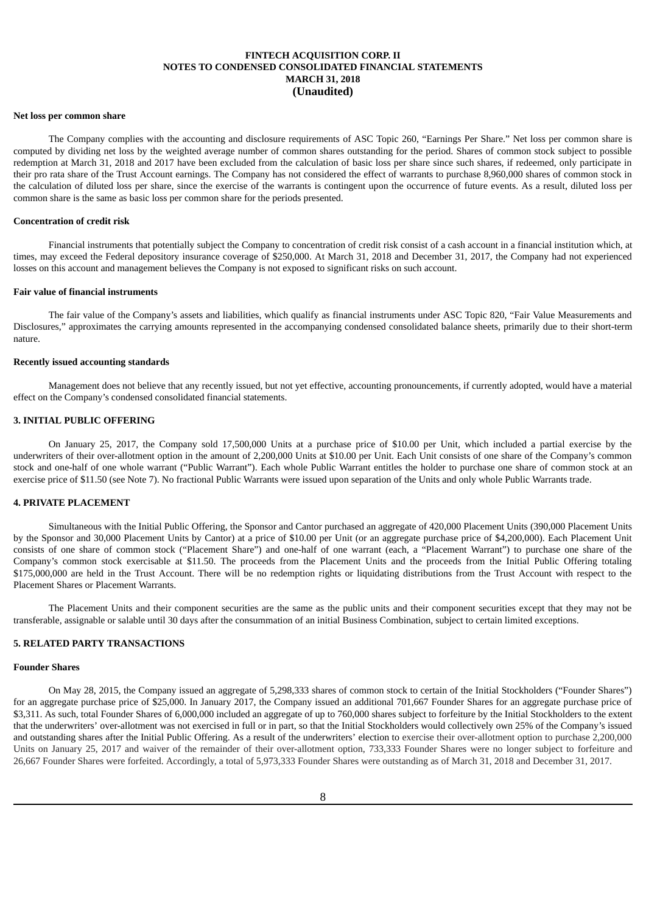### **Net loss per common share**

The Company complies with the accounting and disclosure requirements of ASC Topic 260, "Earnings Per Share." Net loss per common share is computed by dividing net loss by the weighted average number of common shares outstanding for the period. Shares of common stock subject to possible redemption at March 31, 2018 and 2017 have been excluded from the calculation of basic loss per share since such shares, if redeemed, only participate in their pro rata share of the Trust Account earnings. The Company has not considered the effect of warrants to purchase 8,960,000 shares of common stock in the calculation of diluted loss per share, since the exercise of the warrants is contingent upon the occurrence of future events. As a result, diluted loss per common share is the same as basic loss per common share for the periods presented.

#### **Concentration of credit risk**

Financial instruments that potentially subject the Company to concentration of credit risk consist of a cash account in a financial institution which, at times, may exceed the Federal depository insurance coverage of \$250,000. At March 31, 2018 and December 31, 2017, the Company had not experienced losses on this account and management believes the Company is not exposed to significant risks on such account.

#### **Fair value of financial instruments**

The fair value of the Company's assets and liabilities, which qualify as financial instruments under ASC Topic 820, "Fair Value Measurements and Disclosures," approximates the carrying amounts represented in the accompanying condensed consolidated balance sheets, primarily due to their short-term nature.

### **Recently issued accounting standards**

Management does not believe that any recently issued, but not yet effective, accounting pronouncements, if currently adopted, would have a material effect on the Company's condensed consolidated financial statements.

### **3. INITIAL PUBLIC OFFERING**

On January 25, 2017, the Company sold 17,500,000 Units at a purchase price of \$10.00 per Unit, which included a partial exercise by the underwriters of their over-allotment option in the amount of 2,200,000 Units at \$10.00 per Unit. Each Unit consists of one share of the Company's common stock and one-half of one whole warrant ("Public Warrant"). Each whole Public Warrant entitles the holder to purchase one share of common stock at an exercise price of \$11.50 (see Note 7). No fractional Public Warrants were issued upon separation of the Units and only whole Public Warrants trade.

#### **4. PRIVATE PLACEMENT**

Simultaneous with the Initial Public Offering, the Sponsor and Cantor purchased an aggregate of 420,000 Placement Units (390,000 Placement Units by the Sponsor and 30,000 Placement Units by Cantor) at a price of \$10.00 per Unit (or an aggregate purchase price of \$4,200,000). Each Placement Unit consists of one share of common stock ("Placement Share") and one-half of one warrant (each, a "Placement Warrant") to purchase one share of the Company's common stock exercisable at \$11.50. The proceeds from the Placement Units and the proceeds from the Initial Public Offering totaling \$175,000,000 are held in the Trust Account. There will be no redemption rights or liquidating distributions from the Trust Account with respect to the Placement Shares or Placement Warrants.

The Placement Units and their component securities are the same as the public units and their component securities except that they may not be transferable, assignable or salable until 30 days after the consummation of an initial Business Combination, subject to certain limited exceptions.

### **5. RELATED PARTY TRANSACTIONS**

#### **Founder Shares**

On May 28, 2015, the Company issued an aggregate of 5,298,333 shares of common stock to certain of the Initial Stockholders ("Founder Shares") for an aggregate purchase price of \$25,000. In January 2017, the Company issued an additional 701,667 Founder Shares for an aggregate purchase price of \$3,311. As such, total Founder Shares of 6,000,000 included an aggregate of up to 760,000 shares subject to forfeiture by the Initial Stockholders to the extent that the underwriters' over-allotment was not exercised in full or in part, so that the Initial Stockholders would collectively own 25% of the Company's issued and outstanding shares after the Initial Public Offering. As a result of the underwriters' election to exercise their over-allotment option to purchase 2,200,000 Units on January 25, 2017 and waiver of the remainder of their over-allotment option, 733,333 Founder Shares were no longer subject to forfeiture and 26,667 Founder Shares were forfeited. Accordingly, a total of 5,973,333 Founder Shares were outstanding as of March 31, 2018 and December 31, 2017.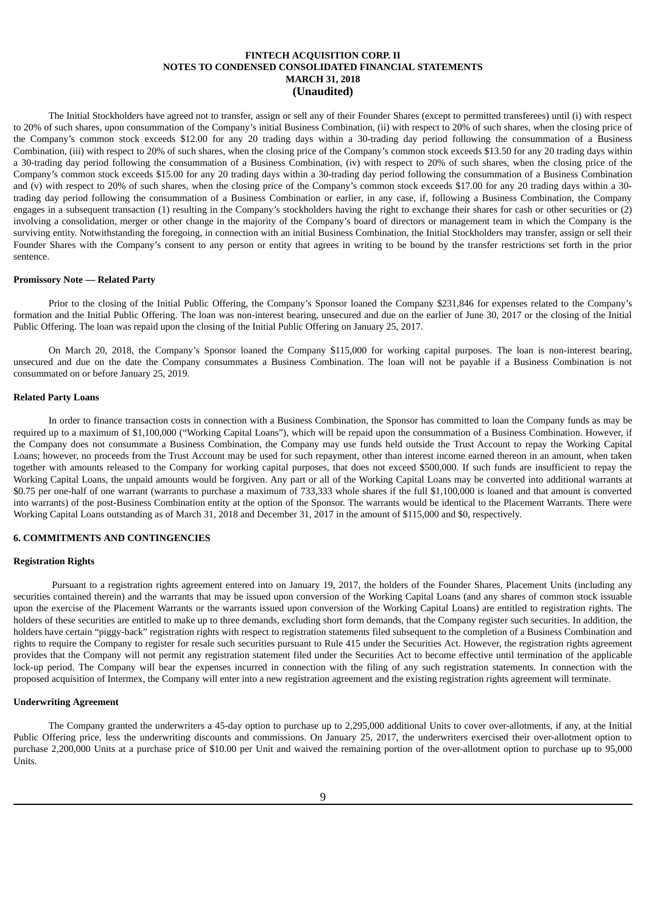The Initial Stockholders have agreed not to transfer, assign or sell any of their Founder Shares (except to permitted transferees) until (i) with respect to 20% of such shares, upon consummation of the Company's initial Business Combination, (ii) with respect to 20% of such shares, when the closing price of the Company's common stock exceeds \$12.00 for any 20 trading days within a 30-trading day period following the consummation of a Business Combination, (iii) with respect to 20% of such shares, when the closing price of the Company's common stock exceeds \$13.50 for any 20 trading days within a 30-trading day period following the consummation of a Business Combination, (iv) with respect to 20% of such shares, when the closing price of the Company's common stock exceeds \$15.00 for any 20 trading days within a 30-trading day period following the consummation of a Business Combination and (v) with respect to 20% of such shares, when the closing price of the Company's common stock exceeds \$17.00 for any 20 trading days within a 30 trading day period following the consummation of a Business Combination or earlier, in any case, if, following a Business Combination, the Company engages in a subsequent transaction (1) resulting in the Company's stockholders having the right to exchange their shares for cash or other securities or (2) involving a consolidation, merger or other change in the majority of the Company's board of directors or management team in which the Company is the surviving entity. Notwithstanding the foregoing, in connection with an initial Business Combination, the Initial Stockholders may transfer, assign or sell their Founder Shares with the Company's consent to any person or entity that agrees in writing to be bound by the transfer restrictions set forth in the prior sentence.

#### **Promissory Note — Related Party**

Prior to the closing of the Initial Public Offering, the Company's Sponsor loaned the Company \$231,846 for expenses related to the Company's formation and the Initial Public Offering. The loan was non-interest bearing, unsecured and due on the earlier of June 30, 2017 or the closing of the Initial Public Offering. The loan was repaid upon the closing of the Initial Public Offering on January 25, 2017.

On March 20, 2018, the Company's Sponsor loaned the Company \$115,000 for working capital purposes. The loan is non-interest bearing, unsecured and due on the date the Company consummates a Business Combination. The loan will not be payable if a Business Combination is not consummated on or before January 25, 2019.

#### **Related Party Loans**

In order to finance transaction costs in connection with a Business Combination, the Sponsor has committed to loan the Company funds as may be required up to a maximum of \$1,100,000 ("Working Capital Loans"), which will be repaid upon the consummation of a Business Combination. However, if the Company does not consummate a Business Combination, the Company may use funds held outside the Trust Account to repay the Working Capital Loans; however, no proceeds from the Trust Account may be used for such repayment, other than interest income earned thereon in an amount, when taken together with amounts released to the Company for working capital purposes, that does not exceed \$500,000. If such funds are insufficient to repay the Working Capital Loans, the unpaid amounts would be forgiven. Any part or all of the Working Capital Loans may be converted into additional warrants at \$0.75 per one-half of one warrant (warrants to purchase a maximum of 733,333 whole shares if the full \$1,100,000 is loaned and that amount is converted into warrants) of the post-Business Combination entity at the option of the Sponsor. The warrants would be identical to the Placement Warrants. There were Working Capital Loans outstanding as of March 31, 2018 and December 31, 2017 in the amount of \$115,000 and \$0, respectively.

#### **6. COMMITMENTS AND CONTINGENCIES**

#### **Registration Rights**

Pursuant to a registration rights agreement entered into on January 19, 2017, the holders of the Founder Shares, Placement Units (including any securities contained therein) and the warrants that may be issued upon conversion of the Working Capital Loans (and any shares of common stock issuable upon the exercise of the Placement Warrants or the warrants issued upon conversion of the Working Capital Loans) are entitled to registration rights. The holders of these securities are entitled to make up to three demands, excluding short form demands, that the Company register such securities. In addition, the holders have certain "piggy-back" registration rights with respect to registration statements filed subsequent to the completion of a Business Combination and rights to require the Company to register for resale such securities pursuant to Rule 415 under the Securities Act. However, the registration rights agreement provides that the Company will not permit any registration statement filed under the Securities Act to become effective until termination of the applicable lock-up period. The Company will bear the expenses incurred in connection with the filing of any such registration statements. In connection with the proposed acquisition of Intermex, the Company will enter into a new registration agreement and the existing registration rights agreement will terminate.

#### **Underwriting Agreement**

The Company granted the underwriters a 45-day option to purchase up to 2,295,000 additional Units to cover over-allotments, if any, at the Initial Public Offering price, less the underwriting discounts and commissions. On January 25, 2017, the underwriters exercised their over-allotment option to purchase 2,200,000 Units at a purchase price of \$10.00 per Unit and waived the remaining portion of the over-allotment option to purchase up to 95,000 Units.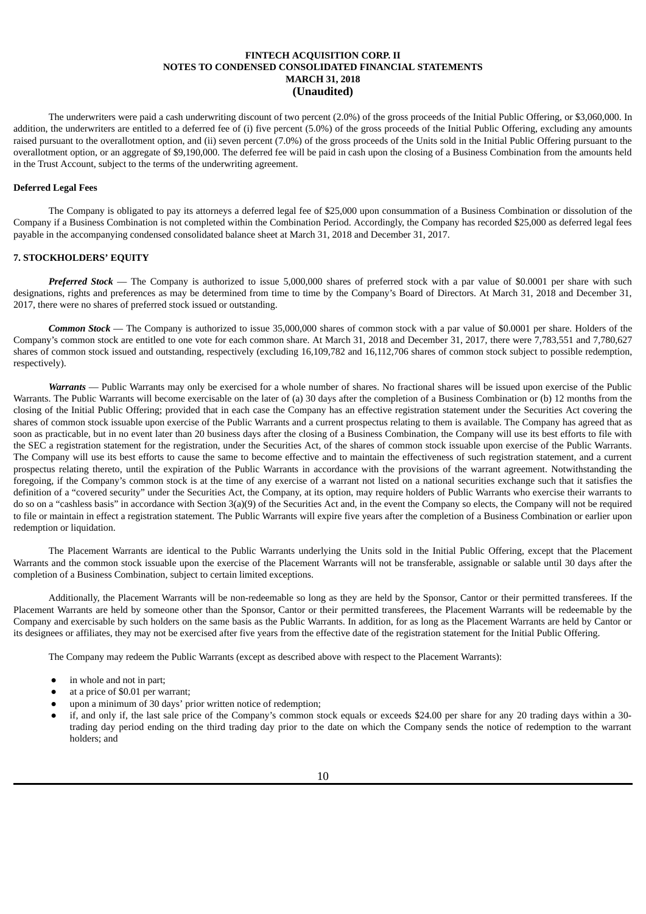The underwriters were paid a cash underwriting discount of two percent (2.0%) of the gross proceeds of the Initial Public Offering, or \$3,060,000. In addition, the underwriters are entitled to a deferred fee of (i) five percent (5.0%) of the gross proceeds of the Initial Public Offering, excluding any amounts raised pursuant to the overallotment option, and (ii) seven percent (7.0%) of the gross proceeds of the Units sold in the Initial Public Offering pursuant to the overallotment option, or an aggregate of \$9,190,000. The deferred fee will be paid in cash upon the closing of a Business Combination from the amounts held in the Trust Account, subject to the terms of the underwriting agreement.

#### **Deferred Legal Fees**

The Company is obligated to pay its attorneys a deferred legal fee of \$25,000 upon consummation of a Business Combination or dissolution of the Company if a Business Combination is not completed within the Combination Period. Accordingly, the Company has recorded \$25,000 as deferred legal fees payable in the accompanying condensed consolidated balance sheet at March 31, 2018 and December 31, 2017.

### **7. STOCKHOLDERS' EQUITY**

*Preferred Stock* — The Company is authorized to issue 5,000,000 shares of preferred stock with a par value of \$0.0001 per share with such designations, rights and preferences as may be determined from time to time by the Company's Board of Directors. At March 31, 2018 and December 31, 2017, there were no shares of preferred stock issued or outstanding.

*Common Stock* — The Company is authorized to issue 35,000,000 shares of common stock with a par value of \$0.0001 per share. Holders of the Company's common stock are entitled to one vote for each common share. At March 31, 2018 and December 31, 2017, there were 7,783,551 and 7,780,627 shares of common stock issued and outstanding, respectively (excluding 16,109,782 and 16,112,706 shares of common stock subject to possible redemption, respectively).

*Warrants* — Public Warrants may only be exercised for a whole number of shares. No fractional shares will be issued upon exercise of the Public Warrants. The Public Warrants will become exercisable on the later of (a) 30 days after the completion of a Business Combination or (b) 12 months from the closing of the Initial Public Offering; provided that in each case the Company has an effective registration statement under the Securities Act covering the shares of common stock issuable upon exercise of the Public Warrants and a current prospectus relating to them is available. The Company has agreed that as soon as practicable, but in no event later than 20 business days after the closing of a Business Combination, the Company will use its best efforts to file with the SEC a registration statement for the registration, under the Securities Act, of the shares of common stock issuable upon exercise of the Public Warrants. The Company will use its best efforts to cause the same to become effective and to maintain the effectiveness of such registration statement, and a current prospectus relating thereto, until the expiration of the Public Warrants in accordance with the provisions of the warrant agreement. Notwithstanding the foregoing, if the Company's common stock is at the time of any exercise of a warrant not listed on a national securities exchange such that it satisfies the definition of a "covered security" under the Securities Act, the Company, at its option, may require holders of Public Warrants who exercise their warrants to do so on a "cashless basis" in accordance with Section 3(a)(9) of the Securities Act and, in the event the Company so elects, the Company will not be required to file or maintain in effect a registration statement. The Public Warrants will expire five years after the completion of a Business Combination or earlier upon redemption or liquidation.

The Placement Warrants are identical to the Public Warrants underlying the Units sold in the Initial Public Offering, except that the Placement Warrants and the common stock issuable upon the exercise of the Placement Warrants will not be transferable, assignable or salable until 30 days after the completion of a Business Combination, subject to certain limited exceptions.

Additionally, the Placement Warrants will be non-redeemable so long as they are held by the Sponsor, Cantor or their permitted transferees. If the Placement Warrants are held by someone other than the Sponsor, Cantor or their permitted transferees, the Placement Warrants will be redeemable by the Company and exercisable by such holders on the same basis as the Public Warrants. In addition, for as long as the Placement Warrants are held by Cantor or its designees or affiliates, they may not be exercised after five years from the effective date of the registration statement for the Initial Public Offering.

The Company may redeem the Public Warrants (except as described above with respect to the Placement Warrants):

- in whole and not in part;
- at a price of \$0.01 per warrant;
- upon a minimum of 30 days' prior written notice of redemption;
- if, and only if, the last sale price of the Company's common stock equals or exceeds \$24.00 per share for any 20 trading days within a 30trading day period ending on the third trading day prior to the date on which the Company sends the notice of redemption to the warrant holders; and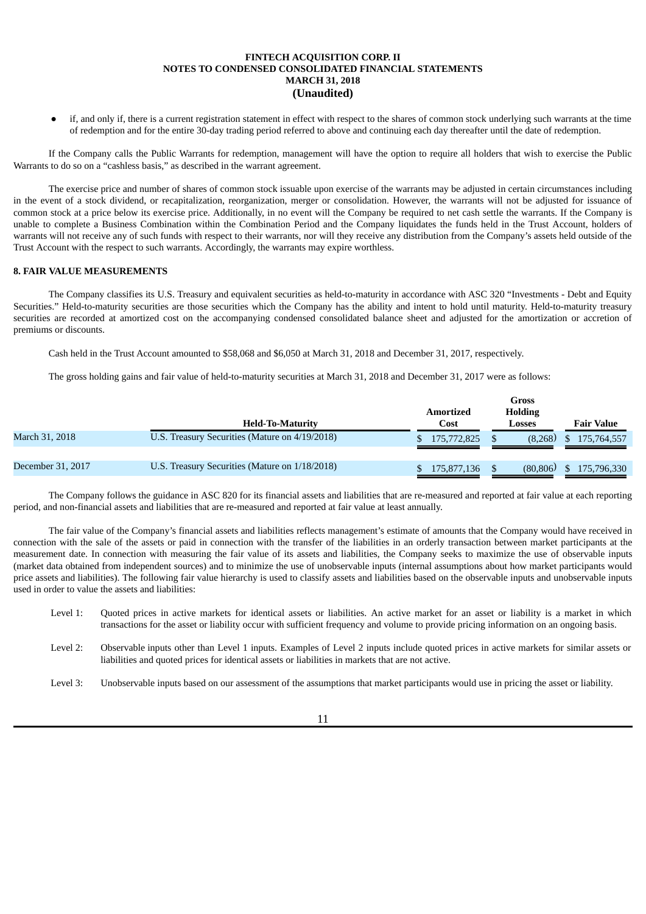if, and only if, there is a current registration statement in effect with respect to the shares of common stock underlying such warrants at the time of redemption and for the entire 30-day trading period referred to above and continuing each day thereafter until the date of redemption.

If the Company calls the Public Warrants for redemption, management will have the option to require all holders that wish to exercise the Public Warrants to do so on a "cashless basis," as described in the warrant agreement.

The exercise price and number of shares of common stock issuable upon exercise of the warrants may be adjusted in certain circumstances including in the event of a stock dividend, or recapitalization, reorganization, merger or consolidation. However, the warrants will not be adjusted for issuance of common stock at a price below its exercise price. Additionally, in no event will the Company be required to net cash settle the warrants. If the Company is unable to complete a Business Combination within the Combination Period and the Company liquidates the funds held in the Trust Account, holders of warrants will not receive any of such funds with respect to their warrants, nor will they receive any distribution from the Company's assets held outside of the Trust Account with the respect to such warrants. Accordingly, the warrants may expire worthless.

### **8. FAIR VALUE MEASUREMENTS**

The Company classifies its U.S. Treasury and equivalent securities as held-to-maturity in accordance with ASC 320 "Investments - Debt and Equity Securities." Held-to-maturity securities are those securities which the Company has the ability and intent to hold until maturity. Held-to-maturity treasury securities are recorded at amortized cost on the accompanying condensed consolidated balance sheet and adjusted for the amortization or accretion of premiums or discounts.

Cash held in the Trust Account amounted to \$58,068 and \$6,050 at March 31, 2018 and December 31, 2017, respectively.

The gross holding gains and fair value of held-to-maturity securities at March 31, 2018 and December 31, 2017 were as follows:

|                   |                                                | Amortized   | Gross<br><b>Holding</b> |              |                   |
|-------------------|------------------------------------------------|-------------|-------------------------|--------------|-------------------|
|                   | <b>Held-To-Maturity</b>                        | Cost        | Losses                  |              | <b>Fair Value</b> |
| March 31, 2018    | U.S. Treasury Securities (Mature on 4/19/2018) | 175,772,825 | (8.268)                 |              | 175,764,557       |
|                   |                                                |             |                         |              |                   |
| December 31, 2017 | U.S. Treasury Securities (Mature on 1/18/2018) | 175,877,136 | (80, 806)               | <sup>S</sup> | 175,796,330       |

The Company follows the guidance in ASC 820 for its financial assets and liabilities that are re-measured and reported at fair value at each reporting period, and non-financial assets and liabilities that are re-measured and reported at fair value at least annually.

The fair value of the Company's financial assets and liabilities reflects management's estimate of amounts that the Company would have received in connection with the sale of the assets or paid in connection with the transfer of the liabilities in an orderly transaction between market participants at the measurement date. In connection with measuring the fair value of its assets and liabilities, the Company seeks to maximize the use of observable inputs (market data obtained from independent sources) and to minimize the use of unobservable inputs (internal assumptions about how market participants would price assets and liabilities). The following fair value hierarchy is used to classify assets and liabilities based on the observable inputs and unobservable inputs used in order to value the assets and liabilities:

- Level 1: Quoted prices in active markets for identical assets or liabilities. An active market for an asset or liability is a market in which transactions for the asset or liability occur with sufficient frequency and volume to provide pricing information on an ongoing basis.
- Level 2: Observable inputs other than Level 1 inputs. Examples of Level 2 inputs include quoted prices in active markets for similar assets or liabilities and quoted prices for identical assets or liabilities in markets that are not active.
- Level 3: Unobservable inputs based on our assessment of the assumptions that market participants would use in pricing the asset or liability.

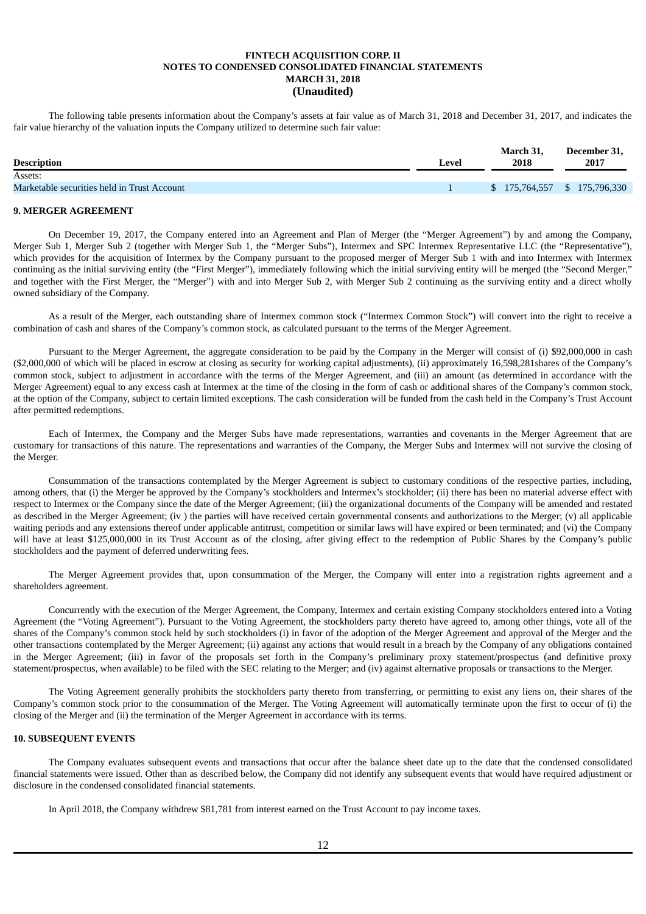The following table presents information about the Company's assets at fair value as of March 31, 2018 and December 31, 2017, and indicates the fair value hierarchy of the valuation inputs the Company utilized to determine such fair value:

|                                             |       | March 31. | December 31,                  |
|---------------------------------------------|-------|-----------|-------------------------------|
| Description                                 | Level | 2018      | 2017                          |
| Assets:                                     |       |           |                               |
| Marketable securities held in Trust Account |       |           | \$ 175,764,557 \$ 175,796,330 |
|                                             |       |           |                               |

### **9. MERGER AGREEMENT**

On December 19, 2017, the Company entered into an Agreement and Plan of Merger (the "Merger Agreement") by and among the Company, Merger Sub 1, Merger Sub 2 (together with Merger Sub 1, the "Merger Subs"), Intermex and SPC Intermex Representative LLC (the "Representative"), which provides for the acquisition of Intermex by the Company pursuant to the proposed merger of Merger Sub 1 with and into Intermex with Intermex continuing as the initial surviving entity (the "First Merger"), immediately following which the initial surviving entity will be merged (the "Second Merger," and together with the First Merger, the "Merger") with and into Merger Sub 2, with Merger Sub 2 continuing as the surviving entity and a direct wholly owned subsidiary of the Company.

As a result of the Merger, each outstanding share of Intermex common stock ("Intermex Common Stock") will convert into the right to receive a combination of cash and shares of the Company's common stock, as calculated pursuant to the terms of the Merger Agreement.

Pursuant to the Merger Agreement, the aggregate consideration to be paid by the Company in the Merger will consist of (i) \$92,000,000 in cash (\$2,000,000 of which will be placed in escrow at closing as security for working capital adjustments), (ii) approximately 16,598,281shares of the Company's common stock, subject to adjustment in accordance with the terms of the Merger Agreement, and (iii) an amount (as determined in accordance with the Merger Agreement) equal to any excess cash at Intermex at the time of the closing in the form of cash or additional shares of the Company's common stock, at the option of the Company, subject to certain limited exceptions. The cash consideration will be funded from the cash held in the Company's Trust Account after permitted redemptions.

Each of Intermex, the Company and the Merger Subs have made representations, warranties and covenants in the Merger Agreement that are customary for transactions of this nature. The representations and warranties of the Company, the Merger Subs and Intermex will not survive the closing of the Merger.

Consummation of the transactions contemplated by the Merger Agreement is subject to customary conditions of the respective parties, including, among others, that (i) the Merger be approved by the Company's stockholders and Intermex's stockholder; (ii) there has been no material adverse effect with respect to Intermex or the Company since the date of the Merger Agreement; (iii) the organizational documents of the Company will be amended and restated as described in the Merger Agreement; (iv ) the parties will have received certain governmental consents and authorizations to the Merger; (v) all applicable waiting periods and any extensions thereof under applicable antitrust, competition or similar laws will have expired or been terminated; and (vi) the Company will have at least \$125,000,000 in its Trust Account as of the closing, after giving effect to the redemption of Public Shares by the Company's public stockholders and the payment of deferred underwriting fees.

The Merger Agreement provides that, upon consummation of the Merger, the Company will enter into a registration rights agreement and a shareholders agreement.

Concurrently with the execution of the Merger Agreement, the Company, Intermex and certain existing Company stockholders entered into a Voting Agreement (the "Voting Agreement"). Pursuant to the Voting Agreement, the stockholders party thereto have agreed to, among other things, vote all of the shares of the Company's common stock held by such stockholders (i) in favor of the adoption of the Merger Agreement and approval of the Merger and the other transactions contemplated by the Merger Agreement; (ii) against any actions that would result in a breach by the Company of any obligations contained in the Merger Agreement; (iii) in favor of the proposals set forth in the Company's preliminary proxy statement/prospectus (and definitive proxy statement/prospectus, when available) to be filed with the SEC relating to the Merger; and (iv) against alternative proposals or transactions to the Merger.

The Voting Agreement generally prohibits the stockholders party thereto from transferring, or permitting to exist any liens on, their shares of the Company's common stock prior to the consummation of the Merger. The Voting Agreement will automatically terminate upon the first to occur of (i) the closing of the Merger and (ii) the termination of the Merger Agreement in accordance with its terms.

### **10. SUBSEQUENT EVENTS**

The Company evaluates subsequent events and transactions that occur after the balance sheet date up to the date that the condensed consolidated financial statements were issued. Other than as described below, the Company did not identify any subsequent events that would have required adjustment or disclosure in the condensed consolidated financial statements.

In April 2018, the Company withdrew \$81,781 from interest earned on the Trust Account to pay income taxes.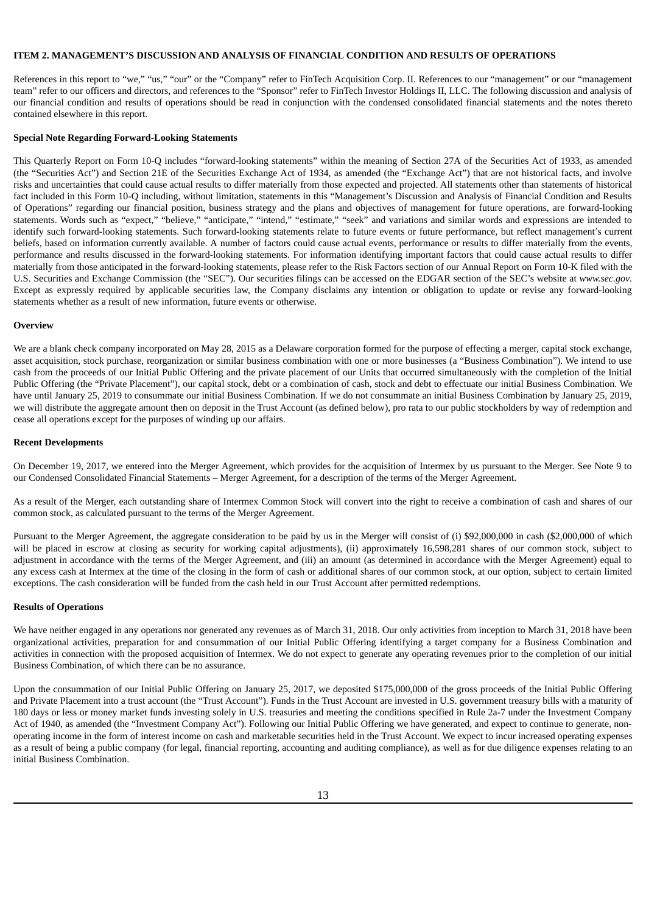### **ITEM 2. MANAGEMENT'S DISCUSSION AND ANALYSIS OF FINANCIAL CONDITION AND RESULTS OF OPERATIONS**

References in this report to "we," "us," "our" or the "Company" refer to FinTech Acquisition Corp. II. References to our "management" or our "management team" refer to our officers and directors, and references to the "Sponsor" refer to FinTech Investor Holdings II, LLC. The following discussion and analysis of our financial condition and results of operations should be read in conjunction with the condensed consolidated financial statements and the notes thereto contained elsewhere in this report.

### **Special Note Regarding Forward-Looking Statements**

This Quarterly Report on Form 10-Q includes "forward-looking statements" within the meaning of Section 27A of the Securities Act of 1933, as amended (the "Securities Act") and Section 21E of the Securities Exchange Act of 1934, as amended (the "Exchange Act") that are not historical facts, and involve risks and uncertainties that could cause actual results to differ materially from those expected and projected. All statements other than statements of historical fact included in this Form 10-Q including, without limitation, statements in this "Management's Discussion and Analysis of Financial Condition and Results of Operations" regarding our financial position, business strategy and the plans and objectives of management for future operations, are forward-looking statements. Words such as "expect," "believe," "anticipate," "intend," "estimate," "seek" and variations and similar words and expressions are intended to identify such forward-looking statements. Such forward-looking statements relate to future events or future performance, but reflect management's current beliefs, based on information currently available. A number of factors could cause actual events, performance or results to differ materially from the events, performance and results discussed in the forward-looking statements. For information identifying important factors that could cause actual results to differ materially from those anticipated in the forward-looking statements, please refer to the Risk Factors section of our Annual Report on Form 10-K filed with the U.S. Securities and Exchange Commission (the "SEC"). Our securities filings can be accessed on the EDGAR section of the SEC's website at *www.sec.gov*. Except as expressly required by applicable securities law, the Company disclaims any intention or obligation to update or revise any forward-looking statements whether as a result of new information, future events or otherwise.

### **Overview**

We are a blank check company incorporated on May 28, 2015 as a Delaware corporation formed for the purpose of effecting a merger, capital stock exchange, asset acquisition, stock purchase, reorganization or similar business combination with one or more businesses (a "Business Combination"). We intend to use cash from the proceeds of our Initial Public Offering and the private placement of our Units that occurred simultaneously with the completion of the Initial Public Offering (the "Private Placement"), our capital stock, debt or a combination of cash, stock and debt to effectuate our initial Business Combination. We have until January 25, 2019 to consummate our initial Business Combination. If we do not consummate an initial Business Combination by January 25, 2019, we will distribute the aggregate amount then on deposit in the Trust Account (as defined below), pro rata to our public stockholders by way of redemption and cease all operations except for the purposes of winding up our affairs.

### **Recent Developments**

On December 19, 2017, we entered into the Merger Agreement, which provides for the acquisition of Intermex by us pursuant to the Merger. See Note 9 to our Condensed Consolidated Financial Statements – Merger Agreement, for a description of the terms of the Merger Agreement.

As a result of the Merger, each outstanding share of Intermex Common Stock will convert into the right to receive a combination of cash and shares of our common stock, as calculated pursuant to the terms of the Merger Agreement.

Pursuant to the Merger Agreement, the aggregate consideration to be paid by us in the Merger will consist of (i) \$92,000,000 in cash (\$2,000,000 of which will be placed in escrow at closing as security for working capital adjustments), (ii) approximately 16,598,281 shares of our common stock, subject to adjustment in accordance with the terms of the Merger Agreement, and (iii) an amount (as determined in accordance with the Merger Agreement) equal to any excess cash at Intermex at the time of the closing in the form of cash or additional shares of our common stock, at our option, subject to certain limited exceptions. The cash consideration will be funded from the cash held in our Trust Account after permitted redemptions.

### **Results of Operations**

We have neither engaged in any operations nor generated any revenues as of March 31, 2018. Our only activities from inception to March 31, 2018 have been organizational activities, preparation for and consummation of our Initial Public Offering identifying a target company for a Business Combination and activities in connection with the proposed acquisition of Intermex. We do not expect to generate any operating revenues prior to the completion of our initial Business Combination, of which there can be no assurance.

Upon the consummation of our Initial Public Offering on January 25, 2017, we deposited \$175,000,000 of the gross proceeds of the Initial Public Offering and Private Placement into a trust account (the "Trust Account"). Funds in the Trust Account are invested in U.S. government treasury bills with a maturity of 180 days or less or money market funds investing solely in U.S. treasuries and meeting the conditions specified in Rule 2a-7 under the Investment Company Act of 1940, as amended (the "Investment Company Act"). Following our Initial Public Offering we have generated, and expect to continue to generate, nonoperating income in the form of interest income on cash and marketable securities held in the Trust Account. We expect to incur increased operating expenses as a result of being a public company (for legal, financial reporting, accounting and auditing compliance), as well as for due diligence expenses relating to an initial Business Combination.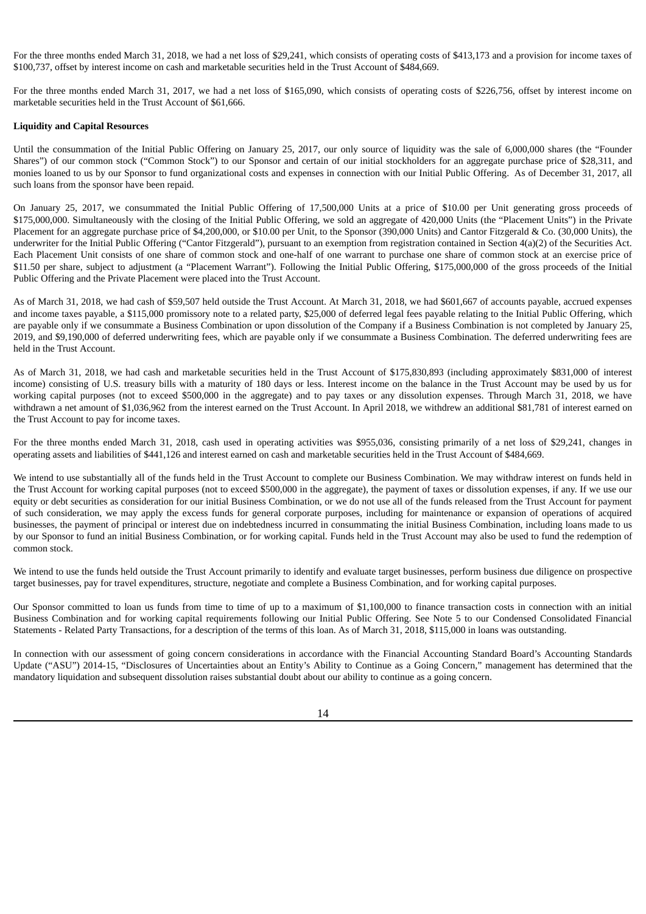For the three months ended March 31, 2018, we had a net loss of \$29,241, which consists of operating costs of \$413,173 and a provision for income taxes of \$100,737, offset by interest income on cash and marketable securities held in the Trust Account of \$484,669.

For the three months ended March 31, 2017, we had a net loss of \$165,090, which consists of operating costs of \$226,756, offset by interest income on marketable securities held in the Trust Account of \$61,666.

### **Liquidity and Capital Resources**

Until the consummation of the Initial Public Offering on January 25, 2017, our only source of liquidity was the sale of 6,000,000 shares (the "Founder Shares") of our common stock ("Common Stock") to our Sponsor and certain of our initial stockholders for an aggregate purchase price of \$28,311, and monies loaned to us by our Sponsor to fund organizational costs and expenses in connection with our Initial Public Offering. As of December 31, 2017, all such loans from the sponsor have been repaid.

On January 25, 2017, we consummated the Initial Public Offering of 17,500,000 Units at a price of \$10.00 per Unit generating gross proceeds of \$175,000,000. Simultaneously with the closing of the Initial Public Offering, we sold an aggregate of 420,000 Units (the "Placement Units") in the Private Placement for an aggregate purchase price of \$4,200,000, or \$10.00 per Unit, to the Sponsor (390,000 Units) and Cantor Fitzgerald & Co. (30,000 Units), the underwriter for the Initial Public Offering ("Cantor Fitzgerald"), pursuant to an exemption from registration contained in Section 4(a)(2) of the Securities Act. Each Placement Unit consists of one share of common stock and one-half of one warrant to purchase one share of common stock at an exercise price of \$11.50 per share, subject to adjustment (a "Placement Warrant"). Following the Initial Public Offering, \$175,000,000 of the gross proceeds of the Initial Public Offering and the Private Placement were placed into the Trust Account.

As of March 31, 2018, we had cash of \$59,507 held outside the Trust Account. At March 31, 2018, we had \$601,667 of accounts payable, accrued expenses and income taxes payable, a \$115,000 promissory note to a related party, \$25,000 of deferred legal fees payable relating to the Initial Public Offering, which are payable only if we consummate a Business Combination or upon dissolution of the Company if a Business Combination is not completed by January 25, 2019, and \$9,190,000 of deferred underwriting fees, which are payable only if we consummate a Business Combination. The deferred underwriting fees are held in the Trust Account.

As of March 31, 2018, we had cash and marketable securities held in the Trust Account of \$175,830,893 (including approximately \$831,000 of interest income) consisting of U.S. treasury bills with a maturity of 180 days or less. Interest income on the balance in the Trust Account may be used by us for working capital purposes (not to exceed \$500,000 in the aggregate) and to pay taxes or any dissolution expenses. Through March 31, 2018, we have withdrawn a net amount of \$1,036,962 from the interest earned on the Trust Account. In April 2018, we withdrew an additional \$81,781 of interest earned on the Trust Account to pay for income taxes.

For the three months ended March 31, 2018, cash used in operating activities was \$955,036, consisting primarily of a net loss of \$29,241, changes in operating assets and liabilities of \$441,126 and interest earned on cash and marketable securities held in the Trust Account of \$484,669.

We intend to use substantially all of the funds held in the Trust Account to complete our Business Combination. We may withdraw interest on funds held in the Trust Account for working capital purposes (not to exceed \$500,000 in the aggregate), the payment of taxes or dissolution expenses, if any. If we use our equity or debt securities as consideration for our initial Business Combination, or we do not use all of the funds released from the Trust Account for payment of such consideration, we may apply the excess funds for general corporate purposes, including for maintenance or expansion of operations of acquired businesses, the payment of principal or interest due on indebtedness incurred in consummating the initial Business Combination, including loans made to us by our Sponsor to fund an initial Business Combination, or for working capital. Funds held in the Trust Account may also be used to fund the redemption of common stock.

We intend to use the funds held outside the Trust Account primarily to identify and evaluate target businesses, perform business due diligence on prospective target businesses, pay for travel expenditures, structure, negotiate and complete a Business Combination, and for working capital purposes.

Our Sponsor committed to loan us funds from time to time of up to a maximum of \$1,100,000 to finance transaction costs in connection with an initial Business Combination and for working capital requirements following our Initial Public Offering. See Note 5 to our Condensed Consolidated Financial Statements - Related Party Transactions, for a description of the terms of this loan. As of March 31, 2018, \$115,000 in loans was outstanding.

In connection with our assessment of going concern considerations in accordance with the Financial Accounting Standard Board's Accounting Standards Update ("ASU") 2014-15, "Disclosures of Uncertainties about an Entity's Ability to Continue as a Going Concern," management has determined that the mandatory liquidation and subsequent dissolution raises substantial doubt about our ability to continue as a going concern.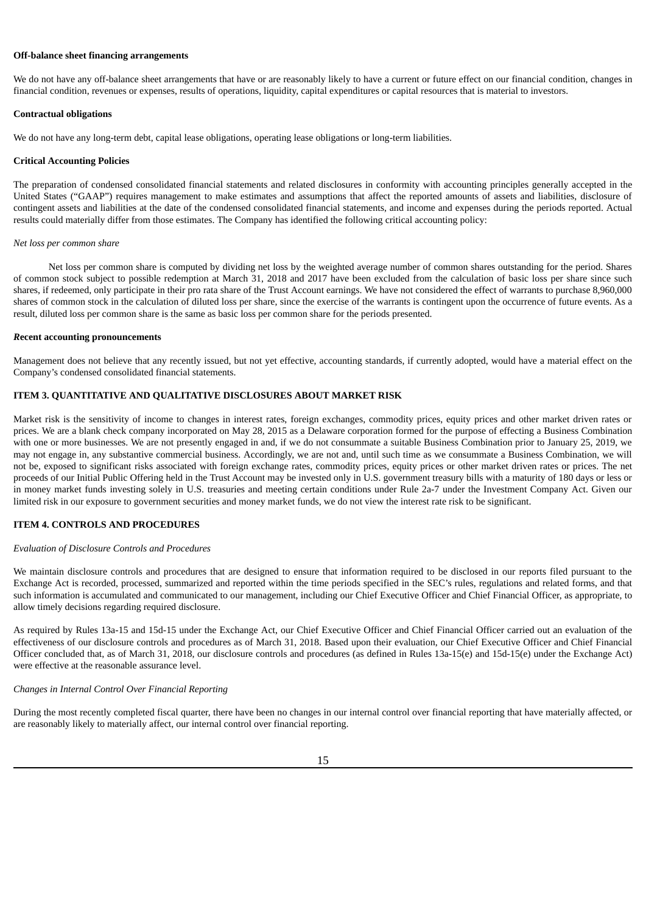### **Off-balance sheet financing arrangements**

We do not have any off-balance sheet arrangements that have or are reasonably likely to have a current or future effect on our financial condition, changes in financial condition, revenues or expenses, results of operations, liquidity, capital expenditures or capital resources that is material to investors.

### **Contractual obligations**

We do not have any long-term debt, capital lease obligations, operating lease obligations or long-term liabilities.

#### **Critical Accounting Policies**

The preparation of condensed consolidated financial statements and related disclosures in conformity with accounting principles generally accepted in the United States ("GAAP") requires management to make estimates and assumptions that affect the reported amounts of assets and liabilities, disclosure of contingent assets and liabilities at the date of the condensed consolidated financial statements, and income and expenses during the periods reported. Actual results could materially differ from those estimates. The Company has identified the following critical accounting policy:

#### *Net loss per common share*

Net loss per common share is computed by dividing net loss by the weighted average number of common shares outstanding for the period. Shares of common stock subject to possible redemption at March 31, 2018 and 2017 have been excluded from the calculation of basic loss per share since such shares, if redeemed, only participate in their pro rata share of the Trust Account earnings. We have not considered the effect of warrants to purchase 8,960,000 shares of common stock in the calculation of diluted loss per share, since the exercise of the warrants is contingent upon the occurrence of future events. As a result, diluted loss per common share is the same as basic loss per common share for the periods presented.

#### *R***ecent accounting pronouncements**

Management does not believe that any recently issued, but not yet effective, accounting standards, if currently adopted, would have a material effect on the Company's condensed consolidated financial statements.

#### **ITEM 3. QUANTITATIVE AND QUALITATIVE DISCLOSURES ABOUT MARKET RISK**

Market risk is the sensitivity of income to changes in interest rates, foreign exchanges, commodity prices, equity prices and other market driven rates or prices. We are a blank check company incorporated on May 28, 2015 as a Delaware corporation formed for the purpose of effecting a Business Combination with one or more businesses. We are not presently engaged in and, if we do not consummate a suitable Business Combination prior to January 25, 2019, we may not engage in, any substantive commercial business. Accordingly, we are not and, until such time as we consummate a Business Combination, we will not be, exposed to significant risks associated with foreign exchange rates, commodity prices, equity prices or other market driven rates or prices. The net proceeds of our Initial Public Offering held in the Trust Account may be invested only in U.S. government treasury bills with a maturity of 180 days or less or in money market funds investing solely in U.S. treasuries and meeting certain conditions under Rule 2a-7 under the Investment Company Act. Given our limited risk in our exposure to government securities and money market funds, we do not view the interest rate risk to be significant.

### **ITEM 4. CONTROLS AND PROCEDURES**

#### *Evaluation of Disclosure Controls and Procedures*

We maintain disclosure controls and procedures that are designed to ensure that information required to be disclosed in our reports filed pursuant to the Exchange Act is recorded, processed, summarized and reported within the time periods specified in the SEC's rules, regulations and related forms, and that such information is accumulated and communicated to our management, including our Chief Executive Officer and Chief Financial Officer, as appropriate, to allow timely decisions regarding required disclosure.

As required by Rules 13a-15 and 15d-15 under the Exchange Act, our Chief Executive Officer and Chief Financial Officer carried out an evaluation of the effectiveness of our disclosure controls and procedures as of March 31, 2018. Based upon their evaluation, our Chief Executive Officer and Chief Financial Officer concluded that, as of March 31, 2018, our disclosure controls and procedures (as defined in Rules 13a-15(e) and 15d-15(e) under the Exchange Act) were effective at the reasonable assurance level.

#### *Changes in Internal Control Over Financial Reporting*

During the most recently completed fiscal quarter, there have been no changes in our internal control over financial reporting that have materially affected, or are reasonably likely to materially affect, our internal control over financial reporting.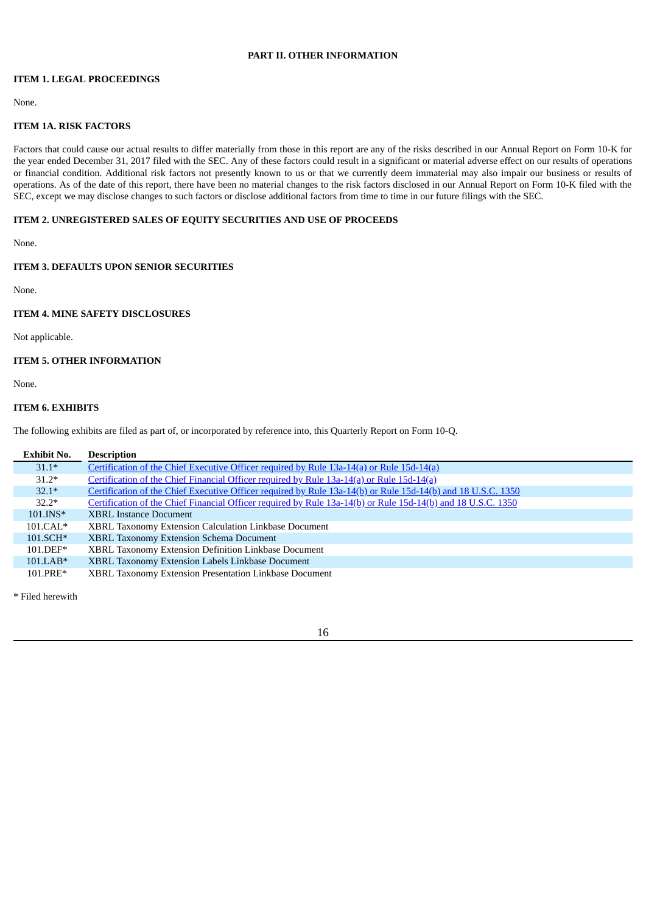### **PART II. OTHER INFORMATION**

### **ITEM 1. LEGAL PROCEEDINGS**

None.

## **ITEM 1A. RISK FACTORS**

Factors that could cause our actual results to differ materially from those in this report are any of the risks described in our Annual Report on Form 10-K for the year ended December 31, 2017 filed with the SEC. Any of these factors could result in a significant or material adverse effect on our results of operations or financial condition. Additional risk factors not presently known to us or that we currently deem immaterial may also impair our business or results of operations. As of the date of this report, there have been no material changes to the risk factors disclosed in our Annual Report on Form 10-K filed with the SEC, except we may disclose changes to such factors or disclose additional factors from time to time in our future filings with the SEC.

### **ITEM 2. UNREGISTERED SALES OF EQUITY SECURITIES AND USE OF PROCEEDS**

None.

## **ITEM 3. DEFAULTS UPON SENIOR SECURITIES**

None.

### **ITEM 4. MINE SAFETY DISCLOSURES**

Not applicable.

### **ITEM 5. OTHER INFORMATION**

None.

### **ITEM 6. EXHIBITS**

The following exhibits are filed as part of, or incorporated by reference into, this Quarterly Report on Form 10-Q.

| <b>Exhibit No.</b> | <b>Description</b>                                                                                           |
|--------------------|--------------------------------------------------------------------------------------------------------------|
| $31.1*$            | Certification of the Chief Executive Officer required by Rule 13a-14(a) or Rule 15d-14(a)                    |
| $31.2*$            | Certification of the Chief Financial Officer required by Rule 13a-14(a) or Rule 15d-14(a)                    |
| $32.1*$            | Certification of the Chief Executive Officer required by Rule 13a-14(b) or Rule 15d-14(b) and 18 U.S.C. 1350 |
| $32.2*$            | Certification of the Chief Financial Officer required by Rule 13a-14(b) or Rule 15d-14(b) and 18 U.S.C. 1350 |
| $101.INS*$         | <b>XBRL Instance Document</b>                                                                                |
| $101.CAL*$         | XBRL Taxonomy Extension Calculation Linkbase Document                                                        |
| $101.SCH*$         | <b>XBRL Taxonomy Extension Schema Document</b>                                                               |
| $101.$ DEF*        | XBRL Taxonomy Extension Definition Linkbase Document                                                         |
| $101.LAB*$         | XBRL Taxonomy Extension Labels Linkbase Document                                                             |
| 101.PRE*           | XBRL Taxonomy Extension Presentation Linkbase Document                                                       |

\* Filed herewith

16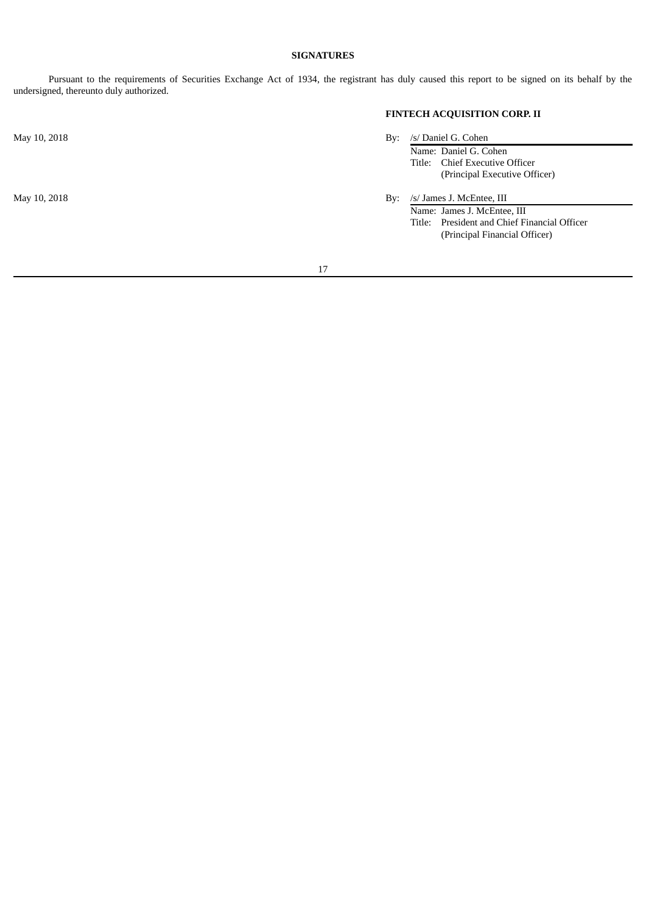## **SIGNATURES**

Pursuant to the requirements of Securities Exchange Act of 1934, the registrant has duly caused this report to be signed on its behalf by the undersigned, thereunto duly authorized.

# **FINTECH ACQUISITION CORP. II**

| May 10, 2018 | By: | /s/ Daniel G. Cohen                             |
|--------------|-----|-------------------------------------------------|
|              |     | Name: Daniel G. Cohen                           |
|              |     | Chief Executive Officer<br>Title:               |
|              |     | (Principal Executive Officer)                   |
| May 10, 2018 | By: | /s/ James J. McEntee, III                       |
|              |     | Name: James J. McEntee, III                     |
|              |     | President and Chief Financial Officer<br>Title: |
|              |     | (Principal Financial Officer)                   |
|              |     |                                                 |

17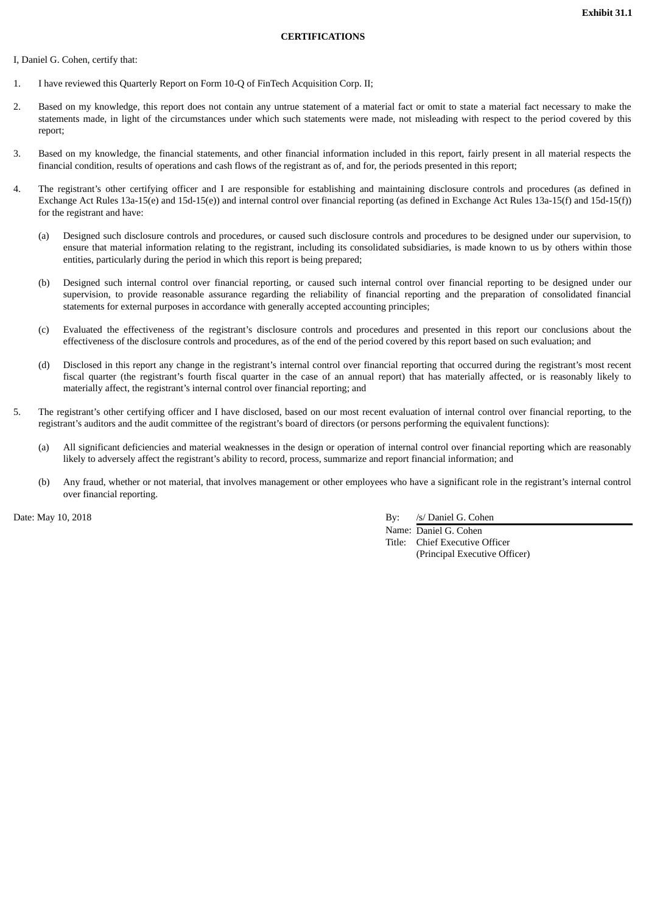### **CERTIFICATIONS**

<span id="page-19-0"></span>I, Daniel G. Cohen, certify that:

- 1. I have reviewed this Quarterly Report on Form 10-Q of FinTech Acquisition Corp. II;
- 2. Based on my knowledge, this report does not contain any untrue statement of a material fact or omit to state a material fact necessary to make the statements made, in light of the circumstances under which such statements were made, not misleading with respect to the period covered by this report;
- 3. Based on my knowledge, the financial statements, and other financial information included in this report, fairly present in all material respects the financial condition, results of operations and cash flows of the registrant as of, and for, the periods presented in this report;
- 4. The registrant's other certifying officer and I are responsible for establishing and maintaining disclosure controls and procedures (as defined in Exchange Act Rules 13a-15(e) and 15d-15(e)) and internal control over financial reporting (as defined in Exchange Act Rules 13a-15(f) and 15d-15(f)) for the registrant and have:
	- (a) Designed such disclosure controls and procedures, or caused such disclosure controls and procedures to be designed under our supervision, to ensure that material information relating to the registrant, including its consolidated subsidiaries, is made known to us by others within those entities, particularly during the period in which this report is being prepared;
	- (b) Designed such internal control over financial reporting, or caused such internal control over financial reporting to be designed under our supervision, to provide reasonable assurance regarding the reliability of financial reporting and the preparation of consolidated financial statements for external purposes in accordance with generally accepted accounting principles;
	- (c) Evaluated the effectiveness of the registrant's disclosure controls and procedures and presented in this report our conclusions about the effectiveness of the disclosure controls and procedures, as of the end of the period covered by this report based on such evaluation; and
	- (d) Disclosed in this report any change in the registrant's internal control over financial reporting that occurred during the registrant's most recent fiscal quarter (the registrant's fourth fiscal quarter in the case of an annual report) that has materially affected, or is reasonably likely to materially affect, the registrant's internal control over financial reporting; and
- 5. The registrant's other certifying officer and I have disclosed, based on our most recent evaluation of internal control over financial reporting, to the registrant's auditors and the audit committee of the registrant's board of directors (or persons performing the equivalent functions):
	- (a) All significant deficiencies and material weaknesses in the design or operation of internal control over financial reporting which are reasonably likely to adversely affect the registrant's ability to record, process, summarize and report financial information; and
	- (b) Any fraud, whether or not material, that involves management or other employees who have a significant role in the registrant's internal control over financial reporting.

Date: May 10, 2018 By: /s/ Daniel G. Cohen

Name: Daniel G. Cohen Title: Chief Executive Officer (Principal Executive Officer)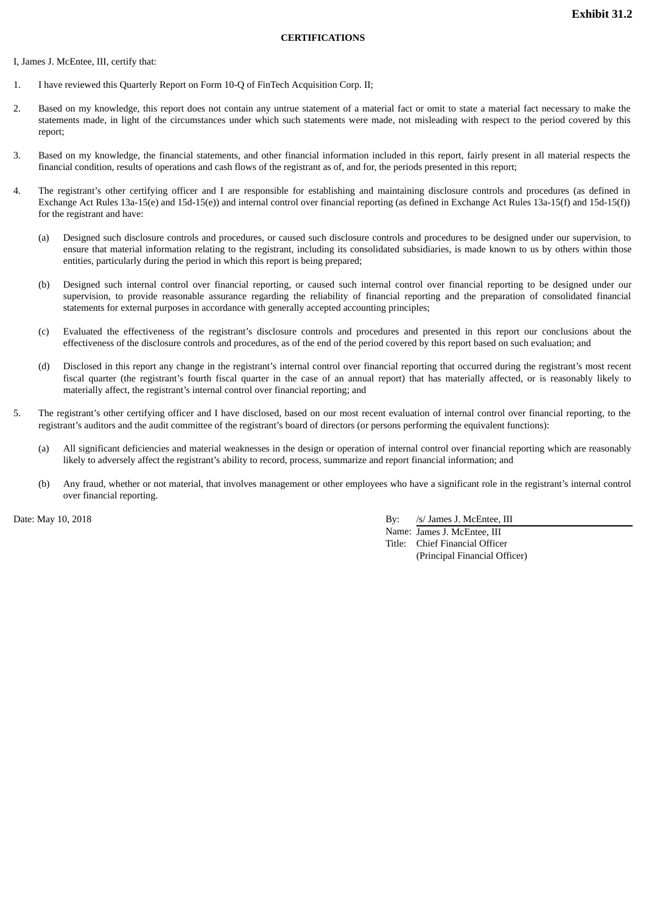### **CERTIFICATIONS**

<span id="page-20-0"></span>I, James J. McEntee, III, certify that:

- 1. I have reviewed this Quarterly Report on Form 10-Q of FinTech Acquisition Corp. II;
- 2. Based on my knowledge, this report does not contain any untrue statement of a material fact or omit to state a material fact necessary to make the statements made, in light of the circumstances under which such statements were made, not misleading with respect to the period covered by this report;
- 3. Based on my knowledge, the financial statements, and other financial information included in this report, fairly present in all material respects the financial condition, results of operations and cash flows of the registrant as of, and for, the periods presented in this report;
- 4. The registrant's other certifying officer and I are responsible for establishing and maintaining disclosure controls and procedures (as defined in Exchange Act Rules 13a-15(e) and 15d-15(e)) and internal control over financial reporting (as defined in Exchange Act Rules 13a-15(f) and 15d-15(f)) for the registrant and have:
	- (a) Designed such disclosure controls and procedures, or caused such disclosure controls and procedures to be designed under our supervision, to ensure that material information relating to the registrant, including its consolidated subsidiaries, is made known to us by others within those entities, particularly during the period in which this report is being prepared;
	- (b) Designed such internal control over financial reporting, or caused such internal control over financial reporting to be designed under our supervision, to provide reasonable assurance regarding the reliability of financial reporting and the preparation of consolidated financial statements for external purposes in accordance with generally accepted accounting principles;
	- (c) Evaluated the effectiveness of the registrant's disclosure controls and procedures and presented in this report our conclusions about the effectiveness of the disclosure controls and procedures, as of the end of the period covered by this report based on such evaluation; and
	- (d) Disclosed in this report any change in the registrant's internal control over financial reporting that occurred during the registrant's most recent fiscal quarter (the registrant's fourth fiscal quarter in the case of an annual report) that has materially affected, or is reasonably likely to materially affect, the registrant's internal control over financial reporting; and
- 5. The registrant's other certifying officer and I have disclosed, based on our most recent evaluation of internal control over financial reporting, to the registrant's auditors and the audit committee of the registrant's board of directors (or persons performing the equivalent functions):
	- (a) All significant deficiencies and material weaknesses in the design or operation of internal control over financial reporting which are reasonably likely to adversely affect the registrant's ability to record, process, summarize and report financial information; and
	- (b) Any fraud, whether or not material, that involves management or other employees who have a significant role in the registrant's internal control over financial reporting.

Date: May 10, 2018 By: /s/ James J. McEntee, III

Name: James J. McEntee, III Title: Chief Financial Officer (Principal Financial Officer)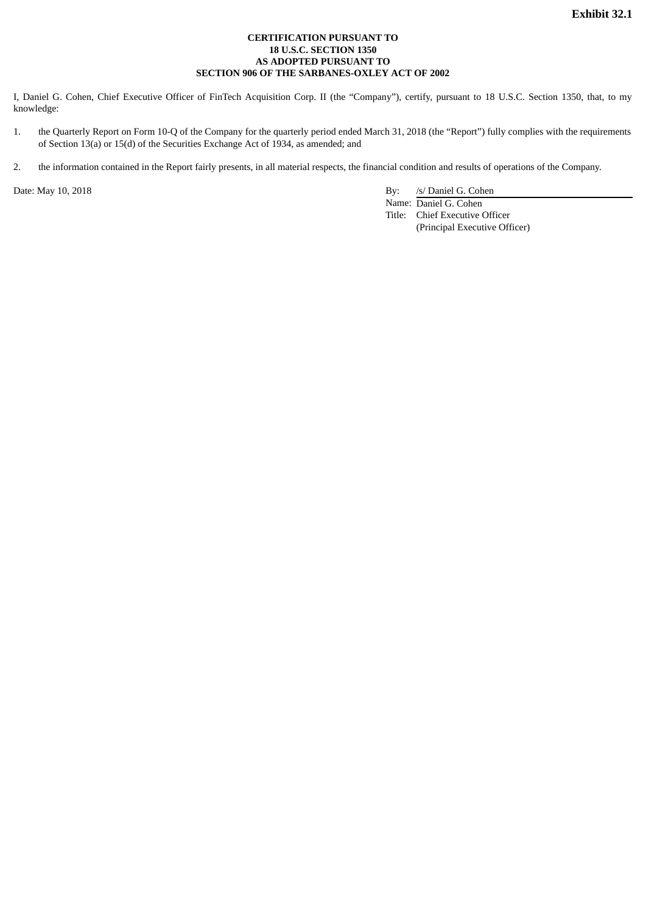## **CERTIFICATION PURSUANT TO 18 U.S.C. SECTION 1350 AS ADOPTED PURSUANT TO SECTION 906 OF THE SARBANES-OXLEY ACT OF 2002**

<span id="page-21-0"></span>I, Daniel G. Cohen, Chief Executive Officer of FinTech Acquisition Corp. II (the "Company"), certify, pursuant to 18 U.S.C. Section 1350, that, to my knowledge:

- 1. the Quarterly Report on Form 10-Q of the Company for the quarterly period ended March 31, 2018 (the "Report") fully complies with the requirements of Section 13(a) or 15(d) of the Securities Exchange Act of 1934, as amended; and
- 2. the information contained in the Report fairly presents, in all material respects, the financial condition and results of operations of the Company.

Date: May 10, 2018 By: /s/ Daniel G. Cohen

Name: Daniel G. Cohen Title: Chief Executive Officer (Principal Executive Officer)